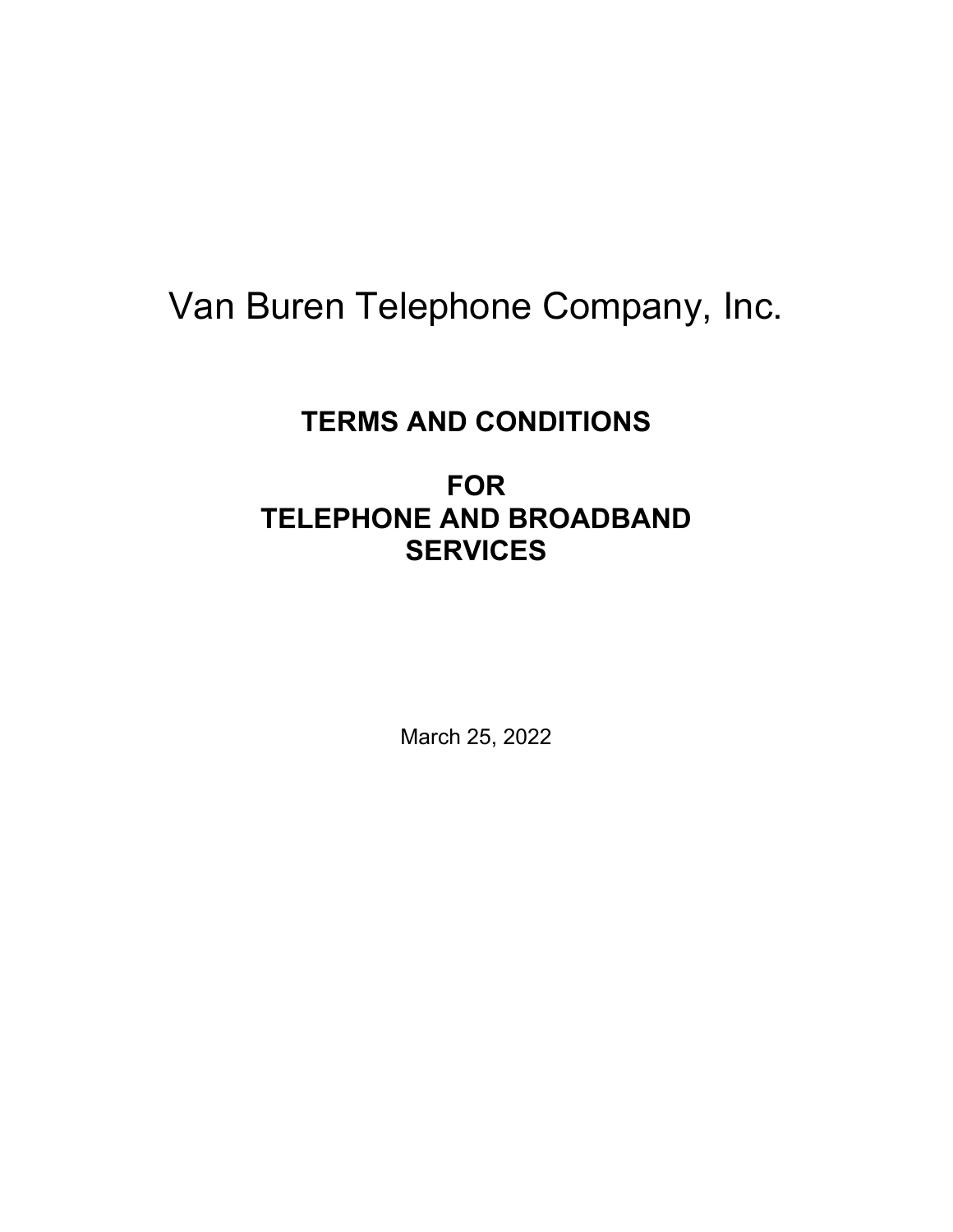# Van Buren Telephone Company, Inc.

# **TERMS AND CONDITIONS**

# **FOR TELEPHONE AND BROADBAND SERVICES**

March 25, 2022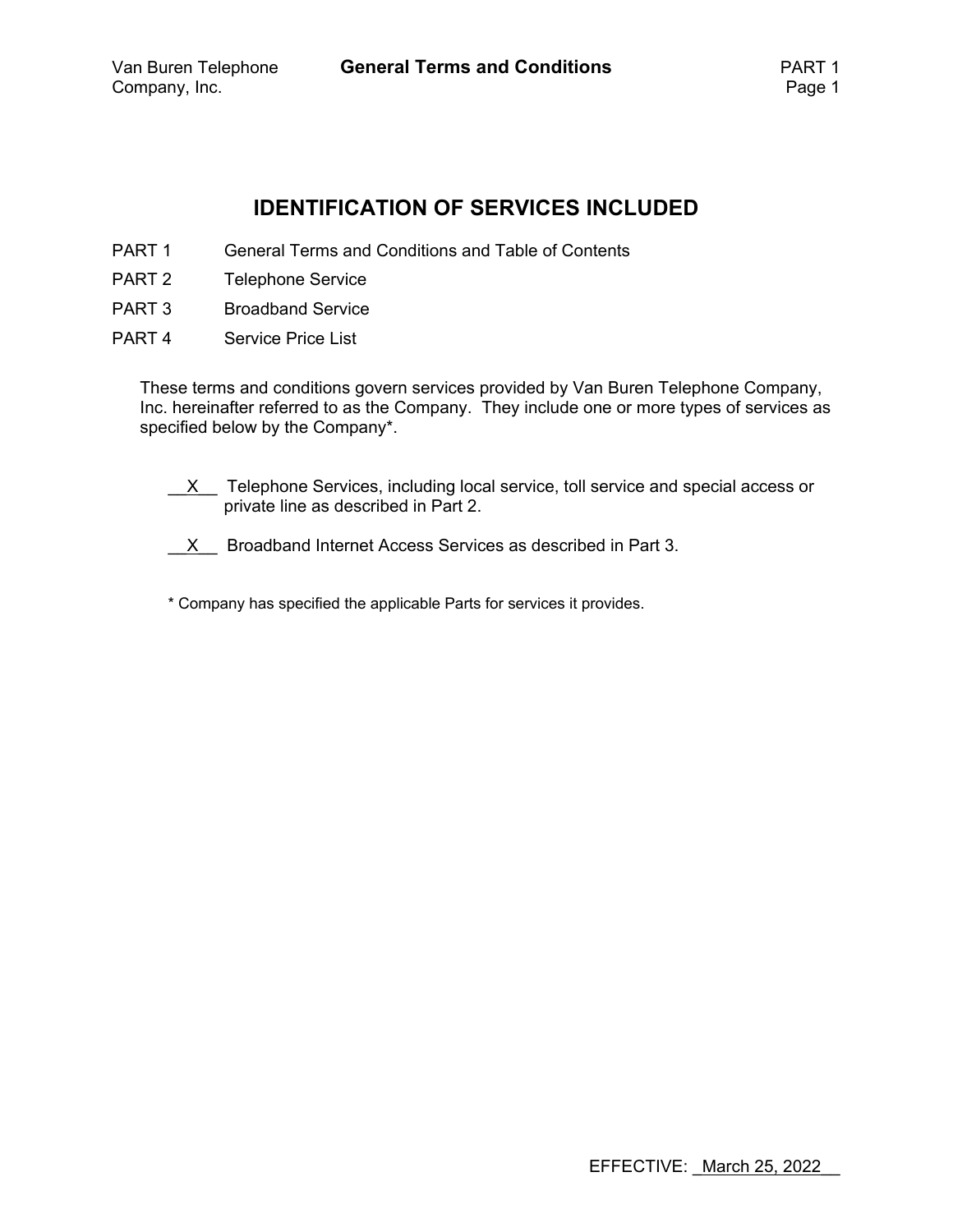# **IDENTIFICATION OF SERVICES INCLUDED**

- PART 1 General Terms and Conditions and Table of Contents
- PART 2 Telephone Service
- PART 3 Broadband Service
- PART 4 Service Price List

These terms and conditions govern services provided by Van Buren Telephone Company, Inc. hereinafter referred to as the Company. They include one or more types of services as specified below by the Company\*.

- $X$  Telephone Services, including local service, toll service and special access or private line as described in Part 2.
- $\underline{X}$  Broadband Internet Access Services as described in Part 3.
- \* Company has specified the applicable Parts for services it provides.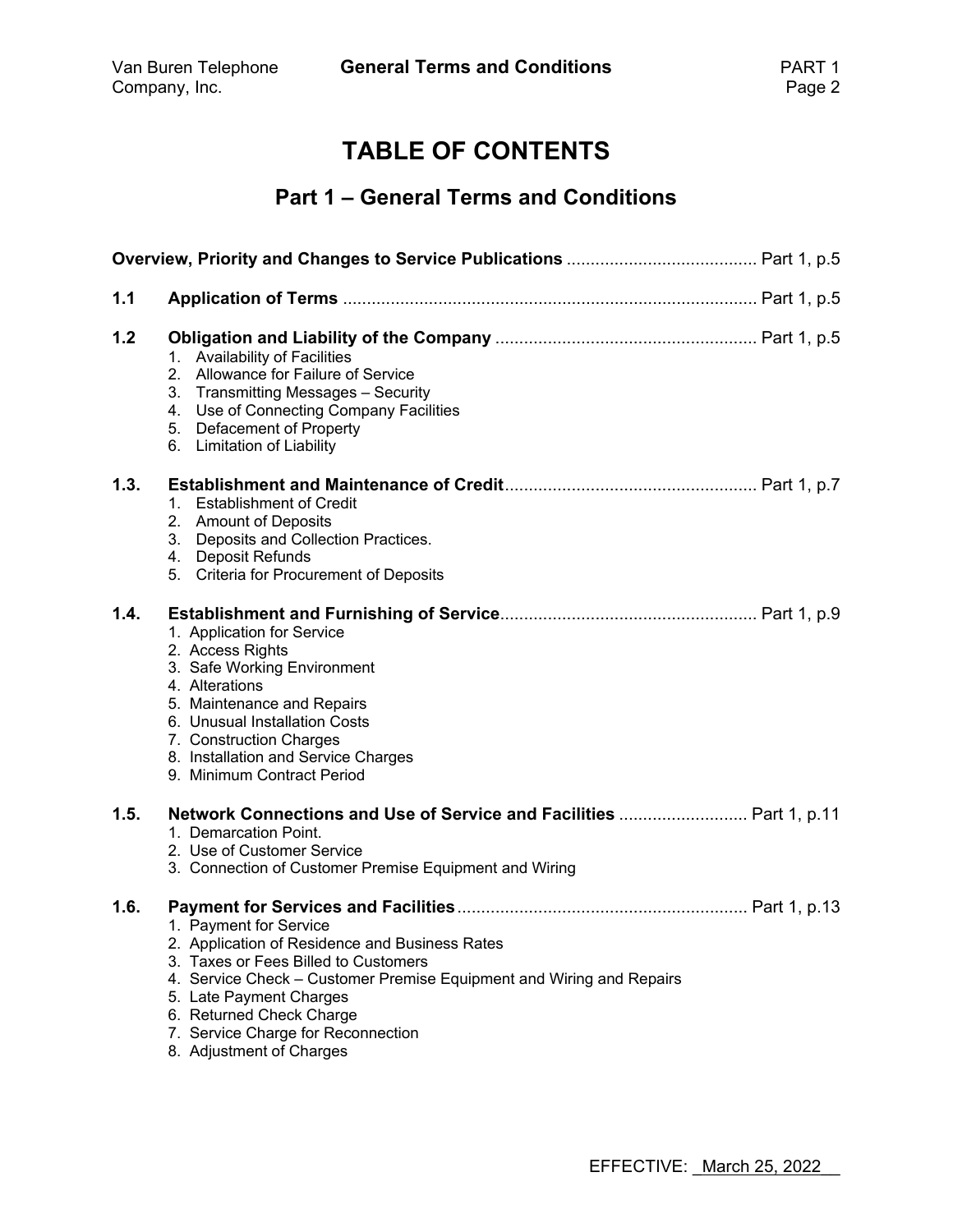# **TABLE OF CONTENTS**

# **Part 1 – General Terms and Conditions**

| 1.1  |                                                                                                                                                                                                                                                                                                                   |
|------|-------------------------------------------------------------------------------------------------------------------------------------------------------------------------------------------------------------------------------------------------------------------------------------------------------------------|
| 1.2  | 1. Availability of Facilities<br>2. Allowance for Failure of Service<br>3. Transmitting Messages - Security<br>4. Use of Connecting Company Facilities<br>5. Defacement of Property<br>6. Limitation of Liability                                                                                                 |
| 1.3. | <b>Establishment of Credit</b><br>1.<br>2. Amount of Deposits<br>3. Deposits and Collection Practices.<br>4. Deposit Refunds<br>5. Criteria for Procurement of Deposits                                                                                                                                           |
| 1.4. | 1. Application for Service<br>2. Access Rights<br>3. Safe Working Environment<br>4. Alterations<br>5. Maintenance and Repairs<br>6. Unusual Installation Costs<br>7. Construction Charges<br>8. Installation and Service Charges<br>9. Minimum Contract Period                                                    |
| 1.5. | 1. Demarcation Point.<br>2. Use of Customer Service<br>3. Connection of Customer Premise Equipment and Wiring                                                                                                                                                                                                     |
| 1.6. | 1. Payment for Service<br>2. Application of Residence and Business Rates<br>3. Taxes or Fees Billed to Customers<br>4. Service Check - Customer Premise Equipment and Wiring and Repairs<br>5. Late Payment Charges<br>6. Returned Check Charge<br>7. Service Charge for Reconnection<br>8. Adjustment of Charges |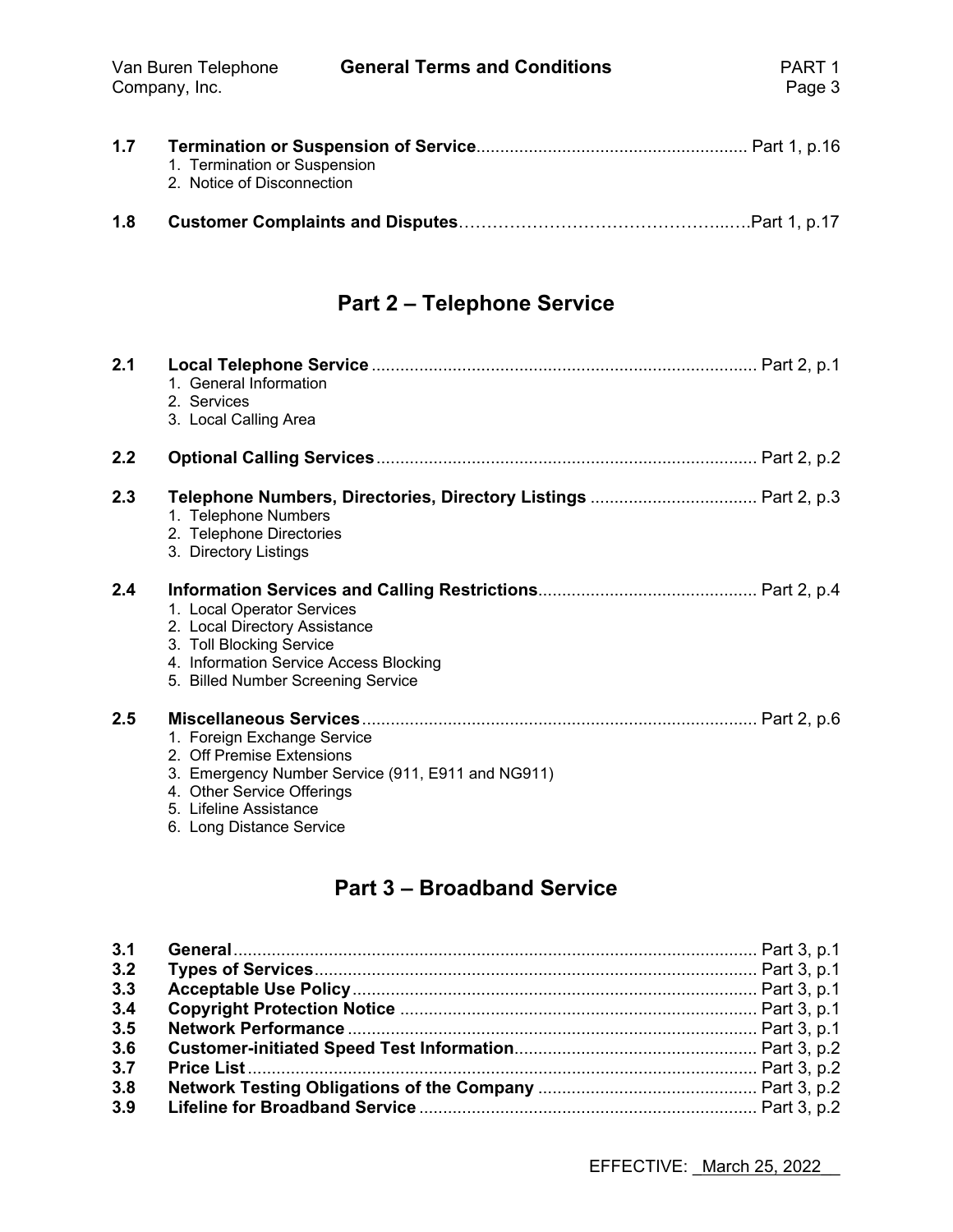| 1.7 | 1. Termination or Suspension<br>2. Notice of Disconnection |  |
|-----|------------------------------------------------------------|--|
| 1.8 |                                                            |  |

# **Part 2 – Telephone Service**

| 2.1 | 1. General Information<br>2. Services<br>3. Local Calling Area                                                                                                          |
|-----|-------------------------------------------------------------------------------------------------------------------------------------------------------------------------|
| 2.2 |                                                                                                                                                                         |
| 2.3 | 1. Telephone Numbers<br>2. Telephone Directories<br>3. Directory Listings                                                                                               |
| 2.4 | 1. Local Operator Services<br>2. Local Directory Assistance<br>3. Toll Blocking Service<br>4. Information Service Access Blocking<br>5. Billed Number Screening Service |
| 2.5 | 1. Foreign Exchange Service<br>2. Off Premise Extensions<br>3. Emergency Number Service (911, E911 and NG911)<br>4. Other Service Offerings<br>5. Lifeline Assistance   |

6. Long Distance Service

# **Part 3 – Broadband Service**

| 3.1 |  |
|-----|--|
| 3.2 |  |
| 3.3 |  |
| 3.4 |  |
| 3.5 |  |
| 3.6 |  |
| 3.7 |  |
| 3.8 |  |
| 3.9 |  |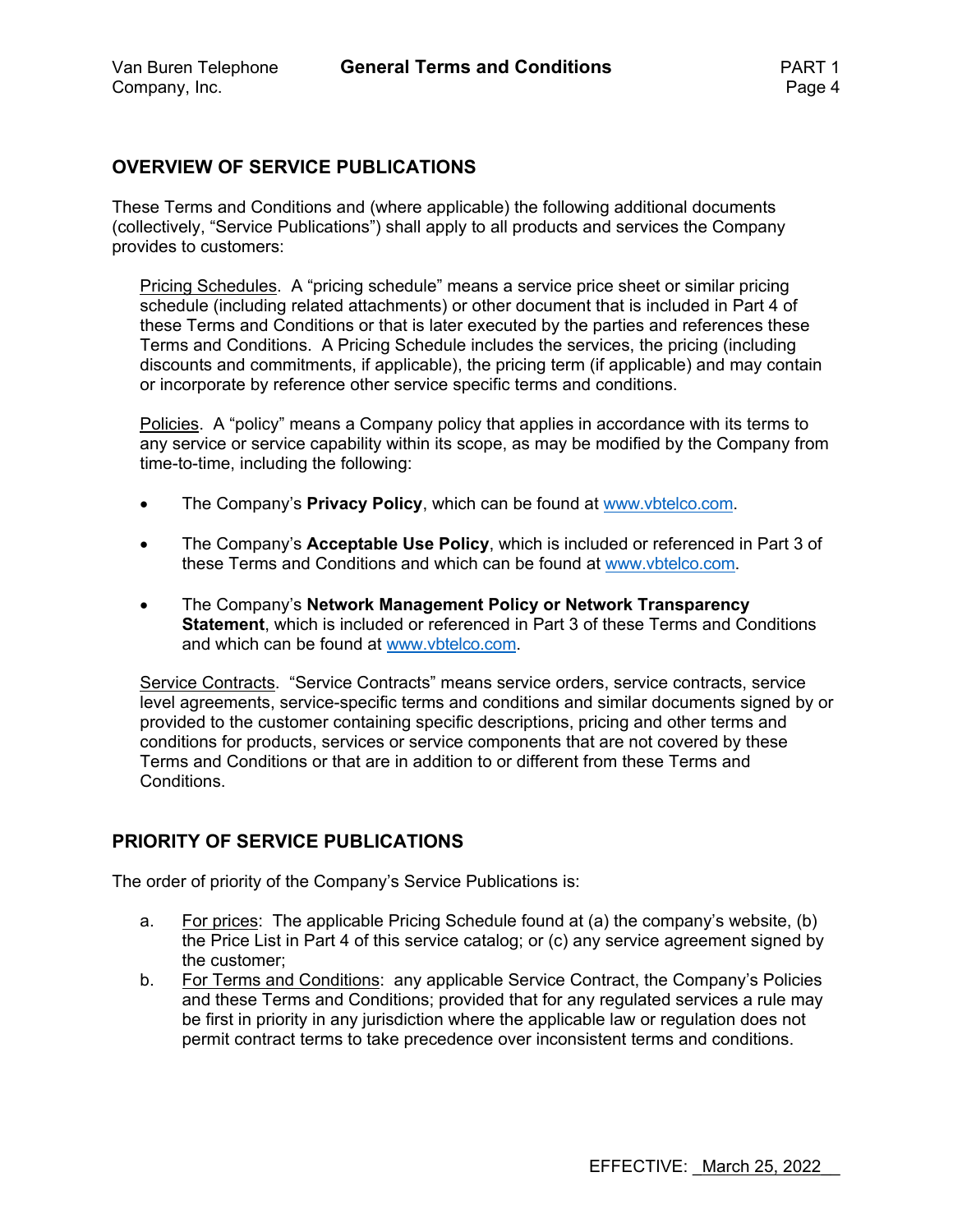#### **OVERVIEW OF SERVICE PUBLICATIONS**

These Terms and Conditions and (where applicable) the following additional documents (collectively, "Service Publications") shall apply to all products and services the Company provides to customers:

Pricing Schedules. A "pricing schedule" means a service price sheet or similar pricing schedule (including related attachments) or other document that is included in Part 4 of these Terms and Conditions or that is later executed by the parties and references these Terms and Conditions. A Pricing Schedule includes the services, the pricing (including discounts and commitments, if applicable), the pricing term (if applicable) and may contain or incorporate by reference other service specific terms and conditions.

Policies. A "policy" means a Company policy that applies in accordance with its terms to any service or service capability within its scope, as may be modified by the Company from time-to-time, including the following:

- The Company's **Privacy Policy**, which can be found at www.vbtelco.com.
- The Company's **Acceptable Use Policy**, which is included or referenced in Part 3 of these Terms and Conditions and which can be found at www.vbtelco.com.
- The Company's **Network Management Policy or Network Transparency Statement**, which is included or referenced in Part 3 of these Terms and Conditions and which can be found at www.vbtelco.com.

Service Contracts. "Service Contracts" means service orders, service contracts, service level agreements, service-specific terms and conditions and similar documents signed by or provided to the customer containing specific descriptions, pricing and other terms and conditions for products, services or service components that are not covered by these Terms and Conditions or that are in addition to or different from these Terms and Conditions.

#### **PRIORITY OF SERVICE PUBLICATIONS**

The order of priority of the Company's Service Publications is:

- a. For prices: The applicable Pricing Schedule found at (a) the company's website, (b) the Price List in Part 4 of this service catalog; or (c) any service agreement signed by the customer;
- b. For Terms and Conditions: any applicable Service Contract, the Company's Policies and these Terms and Conditions; provided that for any regulated services a rule may be first in priority in any jurisdiction where the applicable law or regulation does not permit contract terms to take precedence over inconsistent terms and conditions.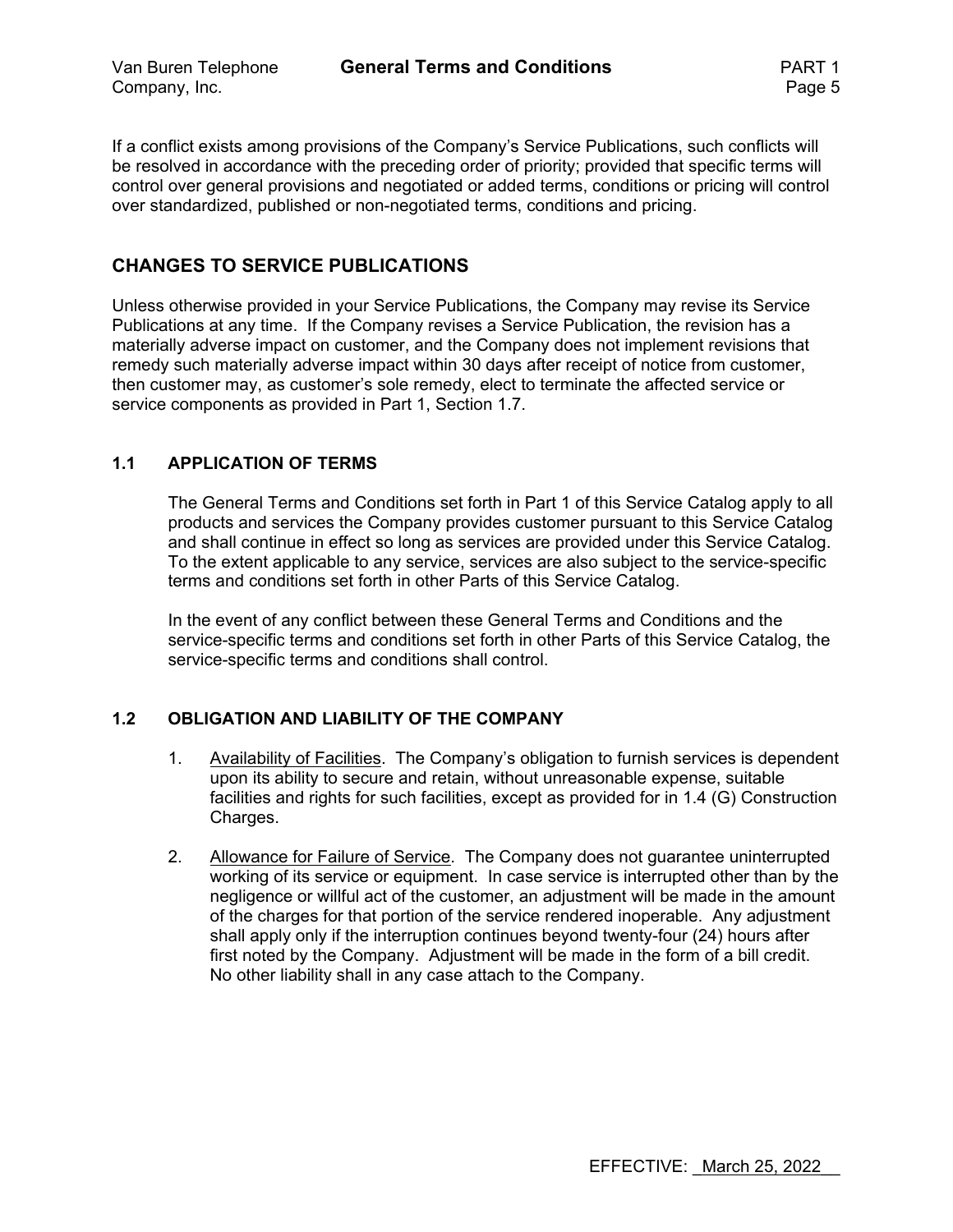If a conflict exists among provisions of the Company's Service Publications, such conflicts will be resolved in accordance with the preceding order of priority; provided that specific terms will control over general provisions and negotiated or added terms, conditions or pricing will control over standardized, published or non-negotiated terms, conditions and pricing.

### **CHANGES TO SERVICE PUBLICATIONS**

Unless otherwise provided in your Service Publications, the Company may revise its Service Publications at any time. If the Company revises a Service Publication, the revision has a materially adverse impact on customer, and the Company does not implement revisions that remedy such materially adverse impact within 30 days after receipt of notice from customer, then customer may, as customer's sole remedy, elect to terminate the affected service or service components as provided in Part 1, Section 1.7.

#### **1.1 APPLICATION OF TERMS**

The General Terms and Conditions set forth in Part 1 of this Service Catalog apply to all products and services the Company provides customer pursuant to this Service Catalog and shall continue in effect so long as services are provided under this Service Catalog. To the extent applicable to any service, services are also subject to the service-specific terms and conditions set forth in other Parts of this Service Catalog.

In the event of any conflict between these General Terms and Conditions and the service-specific terms and conditions set forth in other Parts of this Service Catalog, the service-specific terms and conditions shall control.

#### **1.2 OBLIGATION AND LIABILITY OF THE COMPANY**

- 1. Availability of Facilities. The Company's obligation to furnish services is dependent upon its ability to secure and retain, without unreasonable expense, suitable facilities and rights for such facilities, except as provided for in 1.4 (G) Construction Charges.
- 2. Allowance for Failure of Service. The Company does not guarantee uninterrupted working of its service or equipment. In case service is interrupted other than by the negligence or willful act of the customer, an adjustment will be made in the amount of the charges for that portion of the service rendered inoperable. Any adjustment shall apply only if the interruption continues beyond twenty-four (24) hours after first noted by the Company. Adjustment will be made in the form of a bill credit. No other liability shall in any case attach to the Company.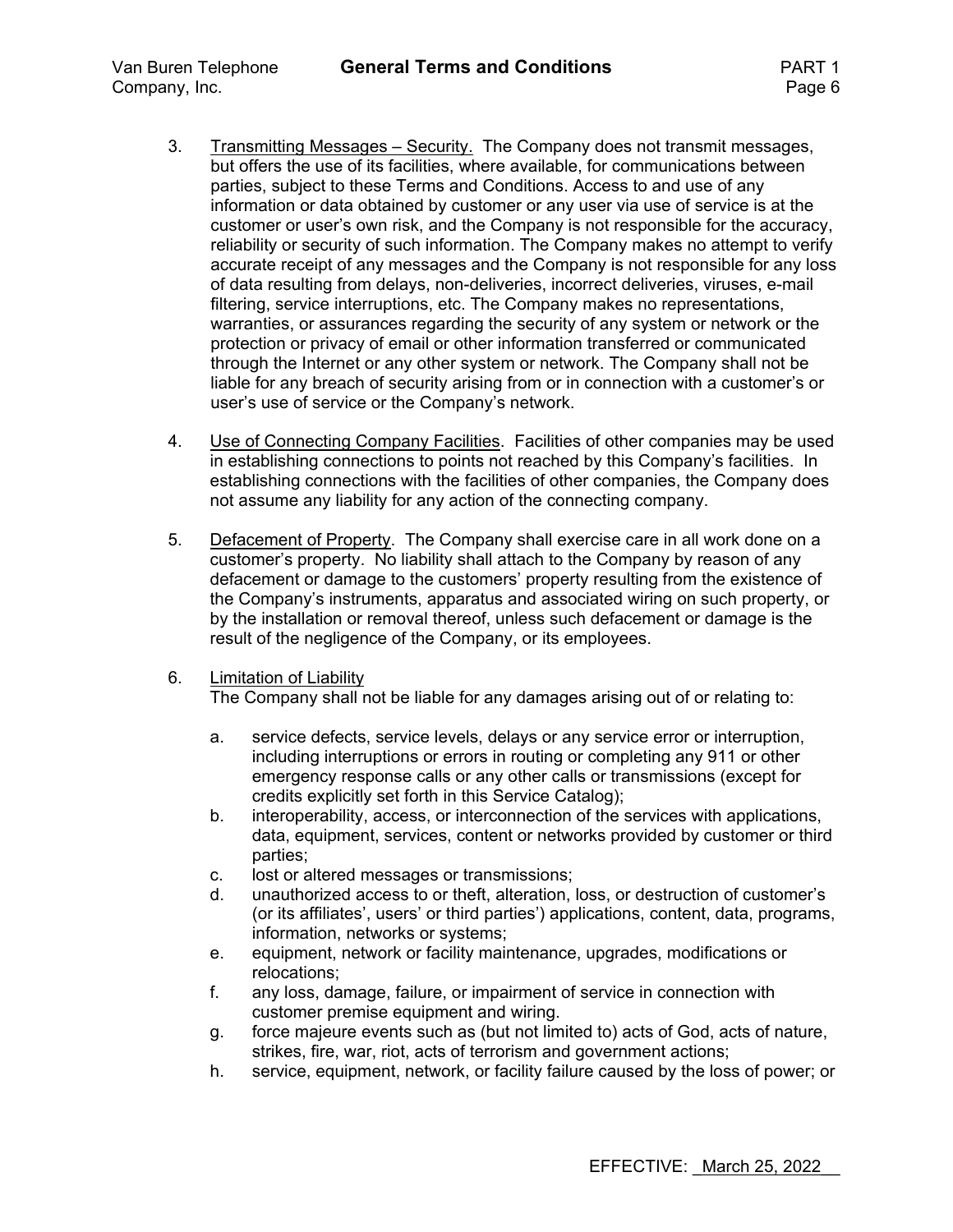- 3. Transmitting Messages Security. The Company does not transmit messages, but offers the use of its facilities, where available, for communications between parties, subject to these Terms and Conditions. Access to and use of any information or data obtained by customer or any user via use of service is at the customer or user's own risk, and the Company is not responsible for the accuracy, reliability or security of such information. The Company makes no attempt to verify accurate receipt of any messages and the Company is not responsible for any loss of data resulting from delays, non-deliveries, incorrect deliveries, viruses, e-mail filtering, service interruptions, etc. The Company makes no representations, warranties, or assurances regarding the security of any system or network or the protection or privacy of email or other information transferred or communicated through the Internet or any other system or network. The Company shall not be liable for any breach of security arising from or in connection with a customer's or user's use of service or the Company's network.
- 4. Use of Connecting Company Facilities. Facilities of other companies may be used in establishing connections to points not reached by this Company's facilities. In establishing connections with the facilities of other companies, the Company does not assume any liability for any action of the connecting company.
- 5. Defacement of Property. The Company shall exercise care in all work done on a customer's property. No liability shall attach to the Company by reason of any defacement or damage to the customers' property resulting from the existence of the Company's instruments, apparatus and associated wiring on such property, or by the installation or removal thereof, unless such defacement or damage is the result of the negligence of the Company, or its employees.
- 6. Limitation of Liability

The Company shall not be liable for any damages arising out of or relating to:

- a. service defects, service levels, delays or any service error or interruption, including interruptions or errors in routing or completing any 911 or other emergency response calls or any other calls or transmissions (except for credits explicitly set forth in this Service Catalog);
- b. interoperability, access, or interconnection of the services with applications, data, equipment, services, content or networks provided by customer or third parties;
- c. lost or altered messages or transmissions;
- d. unauthorized access to or theft, alteration, loss, or destruction of customer's (or its affiliates', users' or third parties') applications, content, data, programs, information, networks or systems;
- e. equipment, network or facility maintenance, upgrades, modifications or relocations;
- f. any loss, damage, failure, or impairment of service in connection with customer premise equipment and wiring.
- g. force majeure events such as (but not limited to) acts of God, acts of nature, strikes, fire, war, riot, acts of terrorism and government actions;
- h. service, equipment, network, or facility failure caused by the loss of power; or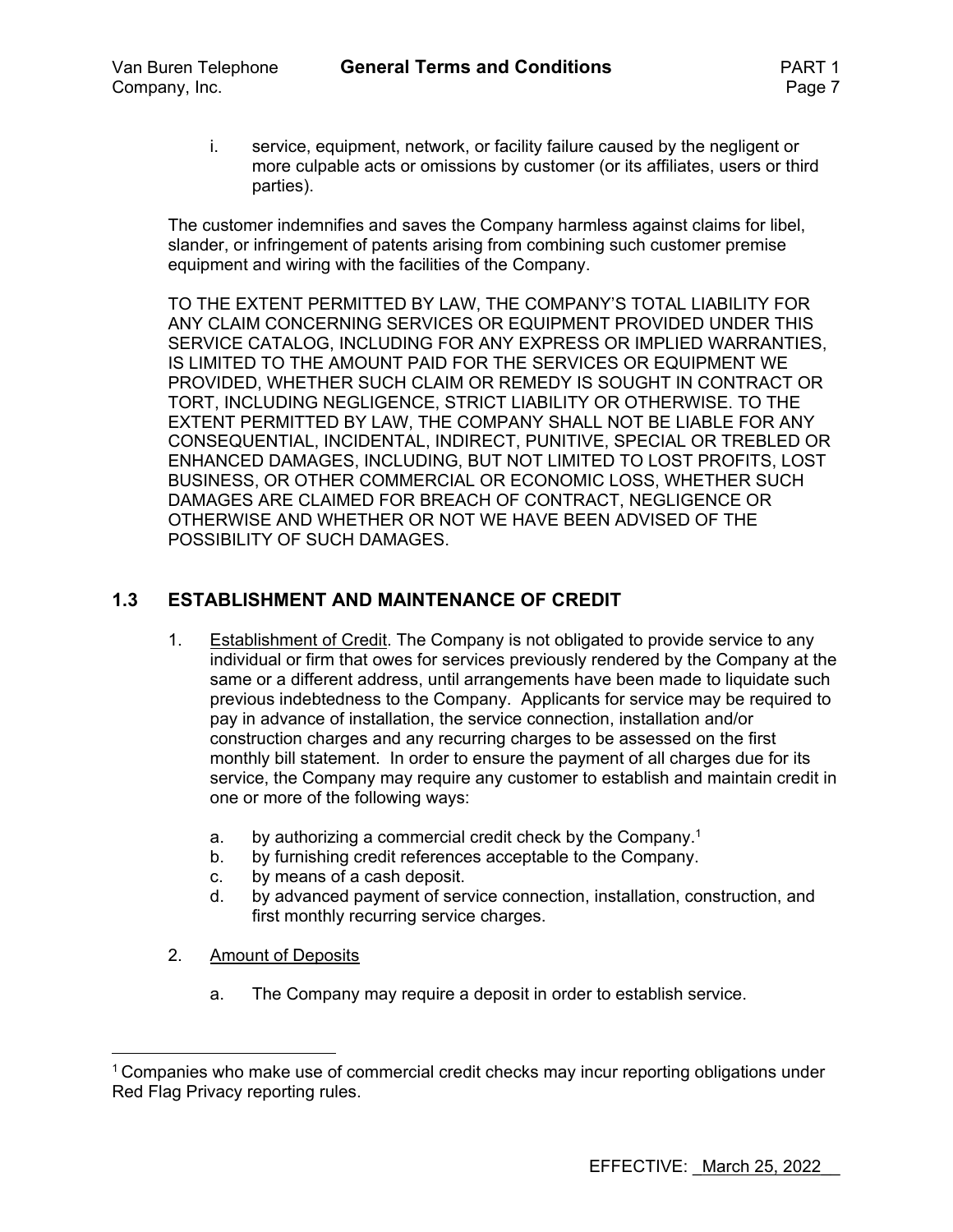i. service, equipment, network, or facility failure caused by the negligent or more culpable acts or omissions by customer (or its affiliates, users or third parties).

The customer indemnifies and saves the Company harmless against claims for libel, slander, or infringement of patents arising from combining such customer premise equipment and wiring with the facilities of the Company.

TO THE EXTENT PERMITTED BY LAW, THE COMPANY'S TOTAL LIABILITY FOR ANY CLAIM CONCERNING SERVICES OR EQUIPMENT PROVIDED UNDER THIS SERVICE CATALOG, INCLUDING FOR ANY EXPRESS OR IMPLIED WARRANTIES, IS LIMITED TO THE AMOUNT PAID FOR THE SERVICES OR EQUIPMENT WE PROVIDED, WHETHER SUCH CLAIM OR REMEDY IS SOUGHT IN CONTRACT OR TORT, INCLUDING NEGLIGENCE, STRICT LIABILITY OR OTHERWISE. TO THE EXTENT PERMITTED BY LAW, THE COMPANY SHALL NOT BE LIABLE FOR ANY CONSEQUENTIAL, INCIDENTAL, INDIRECT, PUNITIVE, SPECIAL OR TREBLED OR ENHANCED DAMAGES, INCLUDING, BUT NOT LIMITED TO LOST PROFITS, LOST BUSINESS, OR OTHER COMMERCIAL OR ECONOMIC LOSS, WHETHER SUCH DAMAGES ARE CLAIMED FOR BREACH OF CONTRACT, NEGLIGENCE OR OTHERWISE AND WHETHER OR NOT WE HAVE BEEN ADVISED OF THE POSSIBILITY OF SUCH DAMAGES.

#### **1.3 ESTABLISHMENT AND MAINTENANCE OF CREDIT**

- 1. Establishment of Credit. The Company is not obligated to provide service to any individual or firm that owes for services previously rendered by the Company at the same or a different address, until arrangements have been made to liquidate such previous indebtedness to the Company. Applicants for service may be required to pay in advance of installation, the service connection, installation and/or construction charges and any recurring charges to be assessed on the first monthly bill statement. In order to ensure the payment of all charges due for its service, the Company may require any customer to establish and maintain credit in one or more of the following ways:
	- a. by authorizing a commercial credit check by the Company.1
	- b. by furnishing credit references acceptable to the Company.
	- c. by means of a cash deposit.
	- d. by advanced payment of service connection, installation, construction, and first monthly recurring service charges.
- 2. Amount of Deposits
	- a. The Company may require a deposit in order to establish service.

 $1$  Companies who make use of commercial credit checks may incur reporting obligations under Red Flag Privacy reporting rules.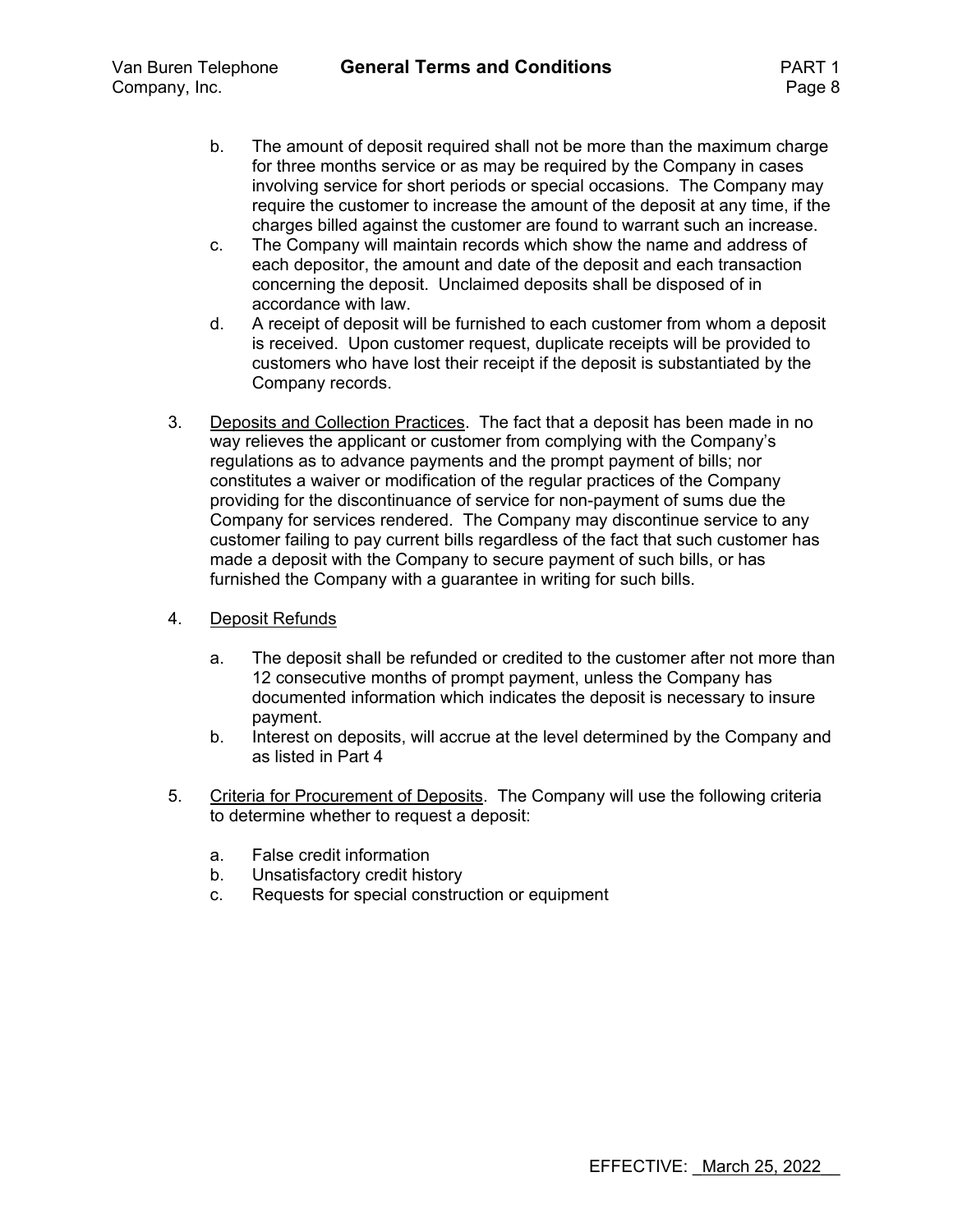- b. The amount of deposit required shall not be more than the maximum charge for three months service or as may be required by the Company in cases involving service for short periods or special occasions. The Company may require the customer to increase the amount of the deposit at any time, if the charges billed against the customer are found to warrant such an increase.
- c. The Company will maintain records which show the name and address of each depositor, the amount and date of the deposit and each transaction concerning the deposit. Unclaimed deposits shall be disposed of in accordance with law.
- d. A receipt of deposit will be furnished to each customer from whom a deposit is received. Upon customer request, duplicate receipts will be provided to customers who have lost their receipt if the deposit is substantiated by the Company records.
- 3. Deposits and Collection Practices. The fact that a deposit has been made in no way relieves the applicant or customer from complying with the Company's regulations as to advance payments and the prompt payment of bills; nor constitutes a waiver or modification of the regular practices of the Company providing for the discontinuance of service for non-payment of sums due the Company for services rendered. The Company may discontinue service to any customer failing to pay current bills regardless of the fact that such customer has made a deposit with the Company to secure payment of such bills, or has furnished the Company with a guarantee in writing for such bills.
- 4. Deposit Refunds
	- a. The deposit shall be refunded or credited to the customer after not more than 12 consecutive months of prompt payment, unless the Company has documented information which indicates the deposit is necessary to insure payment.
	- b. Interest on deposits, will accrue at the level determined by the Company and as listed in Part 4
- 5. Criteria for Procurement of Deposits. The Company will use the following criteria to determine whether to request a deposit:
	- a. False credit information
	- b. Unsatisfactory credit history
	- c. Requests for special construction or equipment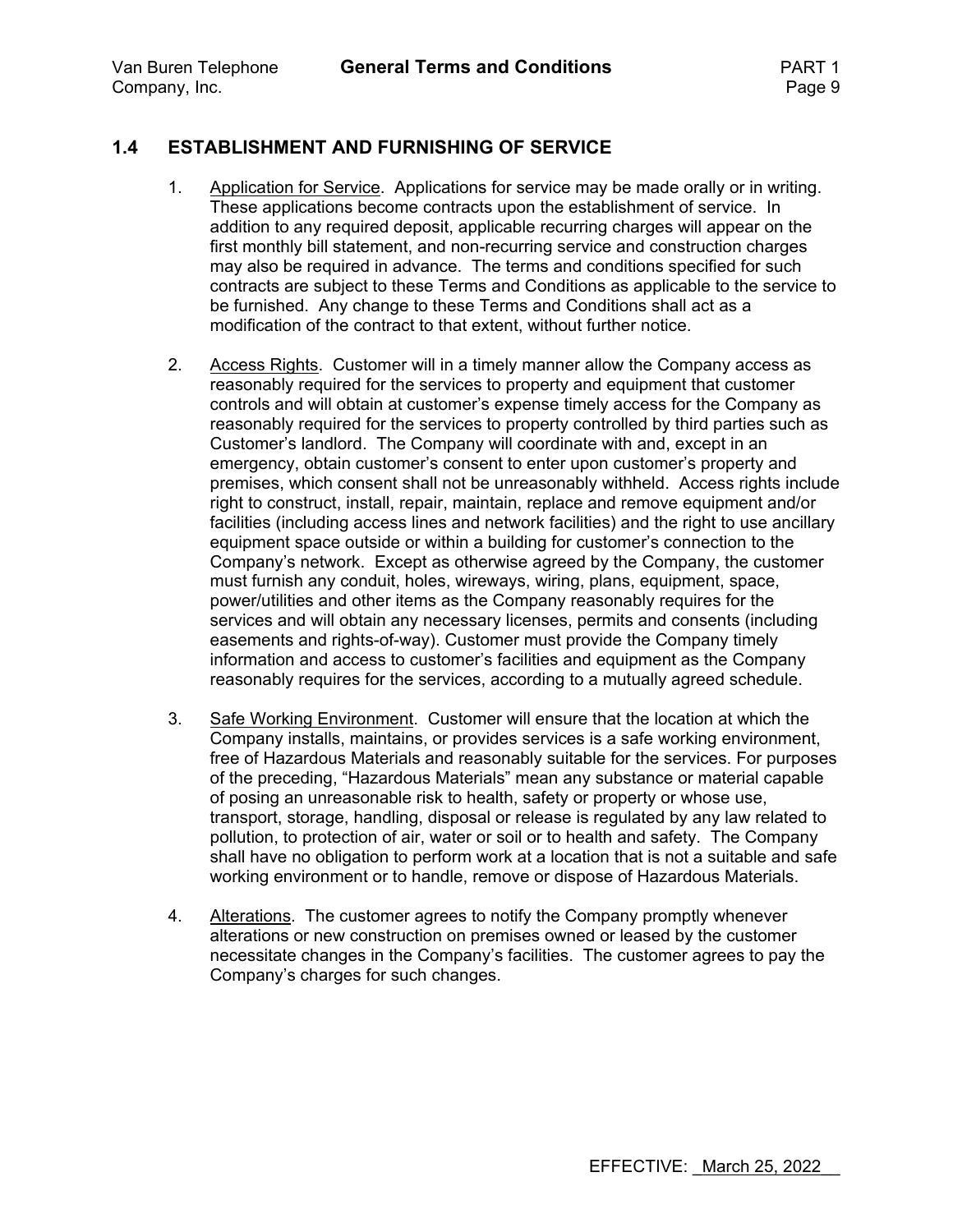## **1.4 ESTABLISHMENT AND FURNISHING OF SERVICE**

- 1. Application for Service. Applications for service may be made orally or in writing. These applications become contracts upon the establishment of service. In addition to any required deposit, applicable recurring charges will appear on the first monthly bill statement, and non-recurring service and construction charges may also be required in advance. The terms and conditions specified for such contracts are subject to these Terms and Conditions as applicable to the service to be furnished. Any change to these Terms and Conditions shall act as a modification of the contract to that extent, without further notice.
- 2. Access Rights. Customer will in a timely manner allow the Company access as reasonably required for the services to property and equipment that customer controls and will obtain at customer's expense timely access for the Company as reasonably required for the services to property controlled by third parties such as Customer's landlord. The Company will coordinate with and, except in an emergency, obtain customer's consent to enter upon customer's property and premises, which consent shall not be unreasonably withheld. Access rights include right to construct, install, repair, maintain, replace and remove equipment and/or facilities (including access lines and network facilities) and the right to use ancillary equipment space outside or within a building for customer's connection to the Company's network. Except as otherwise agreed by the Company, the customer must furnish any conduit, holes, wireways, wiring, plans, equipment, space, power/utilities and other items as the Company reasonably requires for the services and will obtain any necessary licenses, permits and consents (including easements and rights-of-way). Customer must provide the Company timely information and access to customer's facilities and equipment as the Company reasonably requires for the services, according to a mutually agreed schedule.
- 3. Safe Working Environment. Customer will ensure that the location at which the Company installs, maintains, or provides services is a safe working environment, free of Hazardous Materials and reasonably suitable for the services. For purposes of the preceding, "Hazardous Materials" mean any substance or material capable of posing an unreasonable risk to health, safety or property or whose use, transport, storage, handling, disposal or release is regulated by any law related to pollution, to protection of air, water or soil or to health and safety. The Company shall have no obligation to perform work at a location that is not a suitable and safe working environment or to handle, remove or dispose of Hazardous Materials.
- 4. Alterations. The customer agrees to notify the Company promptly whenever alterations or new construction on premises owned or leased by the customer necessitate changes in the Company's facilities. The customer agrees to pay the Company's charges for such changes.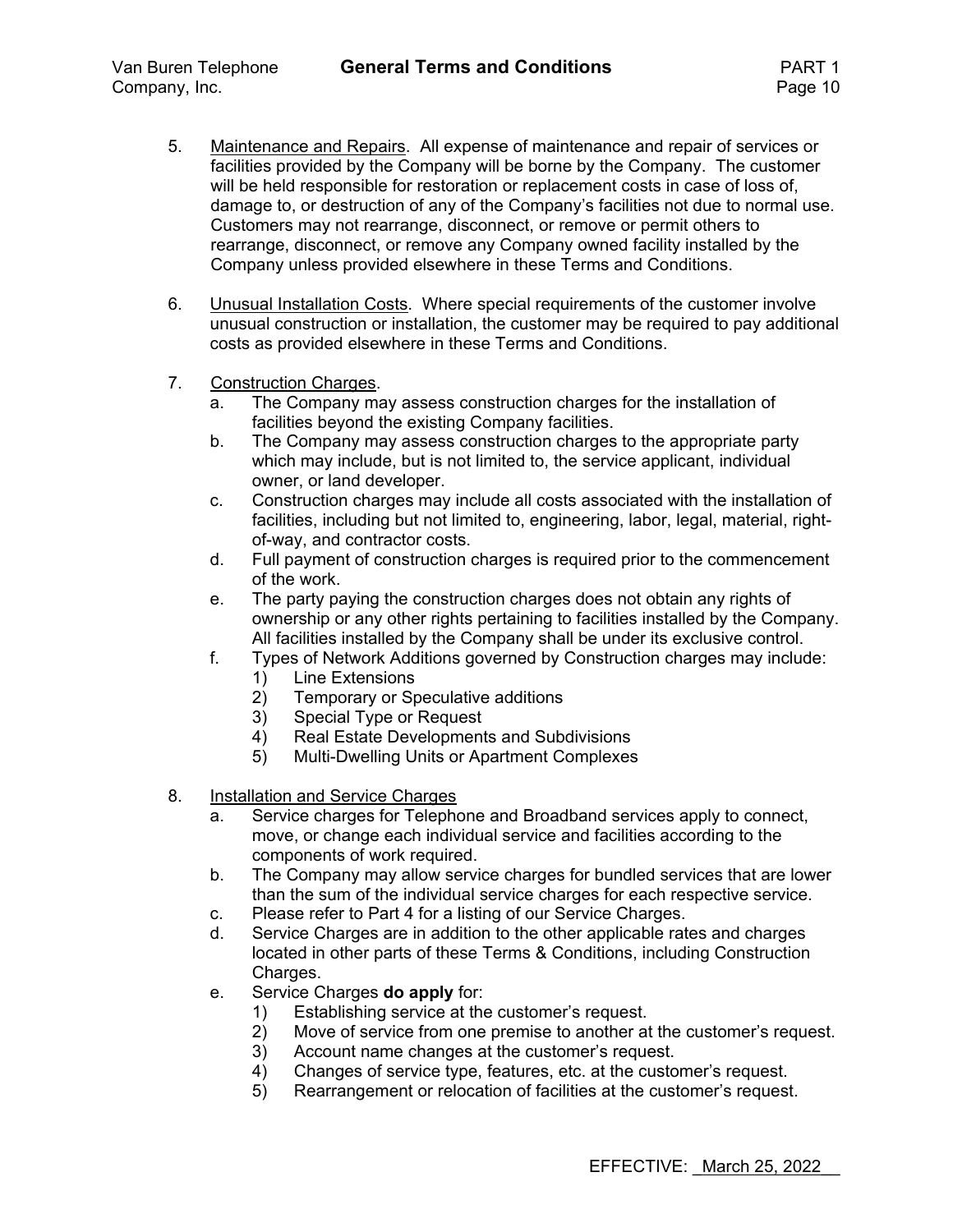- 5. Maintenance and Repairs. All expense of maintenance and repair of services or facilities provided by the Company will be borne by the Company. The customer will be held responsible for restoration or replacement costs in case of loss of, damage to, or destruction of any of the Company's facilities not due to normal use. Customers may not rearrange, disconnect, or remove or permit others to rearrange, disconnect, or remove any Company owned facility installed by the Company unless provided elsewhere in these Terms and Conditions.
- 6. Unusual Installation Costs. Where special requirements of the customer involve unusual construction or installation, the customer may be required to pay additional costs as provided elsewhere in these Terms and Conditions.
- 7. Construction Charges.
	- a. The Company may assess construction charges for the installation of facilities beyond the existing Company facilities.
	- b. The Company may assess construction charges to the appropriate party which may include, but is not limited to, the service applicant, individual owner, or land developer.
	- c. Construction charges may include all costs associated with the installation of facilities, including but not limited to, engineering, labor, legal, material, rightof-way, and contractor costs.
	- d. Full payment of construction charges is required prior to the commencement of the work.
	- e. The party paying the construction charges does not obtain any rights of ownership or any other rights pertaining to facilities installed by the Company. All facilities installed by the Company shall be under its exclusive control.
	- f. Types of Network Additions governed by Construction charges may include:
		- 1) Line Extensions
		- 2) Temporary or Speculative additions
		- 3) Special Type or Request
		- 4) Real Estate Developments and Subdivisions
		- 5) Multi-Dwelling Units or Apartment Complexes
- 8. Installation and Service Charges
	- a. Service charges for Telephone and Broadband services apply to connect, move, or change each individual service and facilities according to the components of work required.
	- b. The Company may allow service charges for bundled services that are lower than the sum of the individual service charges for each respective service.
	- c. Please refer to Part 4 for a listing of our Service Charges.
	- d. Service Charges are in addition to the other applicable rates and charges located in other parts of these Terms & Conditions, including Construction Charges.
	- e. Service Charges **do apply** for:
		- 1) Establishing service at the customer's request.
		- 2) Move of service from one premise to another at the customer's request.
		- 3) Account name changes at the customer's request.
		- 4) Changes of service type, features, etc. at the customer's request.<br>5) Rearrangement or relocation of facilities at the customer's request
		- 5) Rearrangement or relocation of facilities at the customer's request.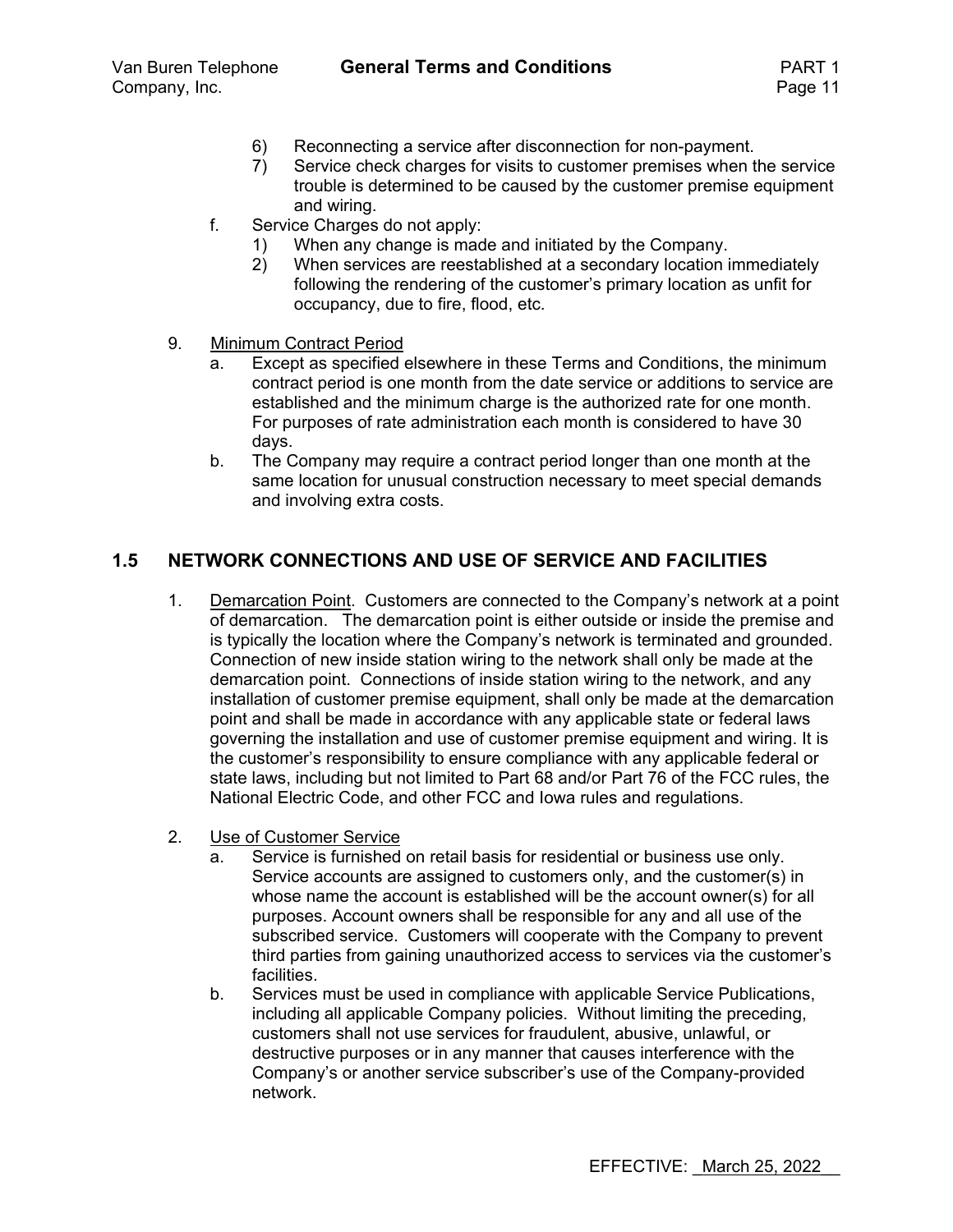- 6) Reconnecting a service after disconnection for non-payment.
- 7) Service check charges for visits to customer premises when the service trouble is determined to be caused by the customer premise equipment and wiring.
- f. Service Charges do not apply:
	- 1) When any change is made and initiated by the Company.
	- 2) When services are reestablished at a secondary location immediately following the rendering of the customer's primary location as unfit for occupancy, due to fire, flood, etc.
- 9. Minimum Contract Period
	- a. Except as specified elsewhere in these Terms and Conditions, the minimum contract period is one month from the date service or additions to service are established and the minimum charge is the authorized rate for one month. For purposes of rate administration each month is considered to have 30 days.
	- b. The Company may require a contract period longer than one month at the same location for unusual construction necessary to meet special demands and involving extra costs.

#### **1.5 NETWORK CONNECTIONS AND USE OF SERVICE AND FACILITIES**

- 1. Demarcation Point. Customers are connected to the Company's network at a point of demarcation. The demarcation point is either outside or inside the premise and is typically the location where the Company's network is terminated and grounded. Connection of new inside station wiring to the network shall only be made at the demarcation point. Connections of inside station wiring to the network, and any installation of customer premise equipment, shall only be made at the demarcation point and shall be made in accordance with any applicable state or federal laws governing the installation and use of customer premise equipment and wiring. It is the customer's responsibility to ensure compliance with any applicable federal or state laws, including but not limited to Part 68 and/or Part 76 of the FCC rules, the National Electric Code, and other FCC and Iowa rules and regulations.
- 2. Use of Customer Service
	- a. Service is furnished on retail basis for residential or business use only. Service accounts are assigned to customers only, and the customer(s) in whose name the account is established will be the account owner(s) for all purposes. Account owners shall be responsible for any and all use of the subscribed service. Customers will cooperate with the Company to prevent third parties from gaining unauthorized access to services via the customer's facilities.
	- b. Services must be used in compliance with applicable Service Publications, including all applicable Company policies. Without limiting the preceding, customers shall not use services for fraudulent, abusive, unlawful, or destructive purposes or in any manner that causes interference with the Company's or another service subscriber's use of the Company-provided network.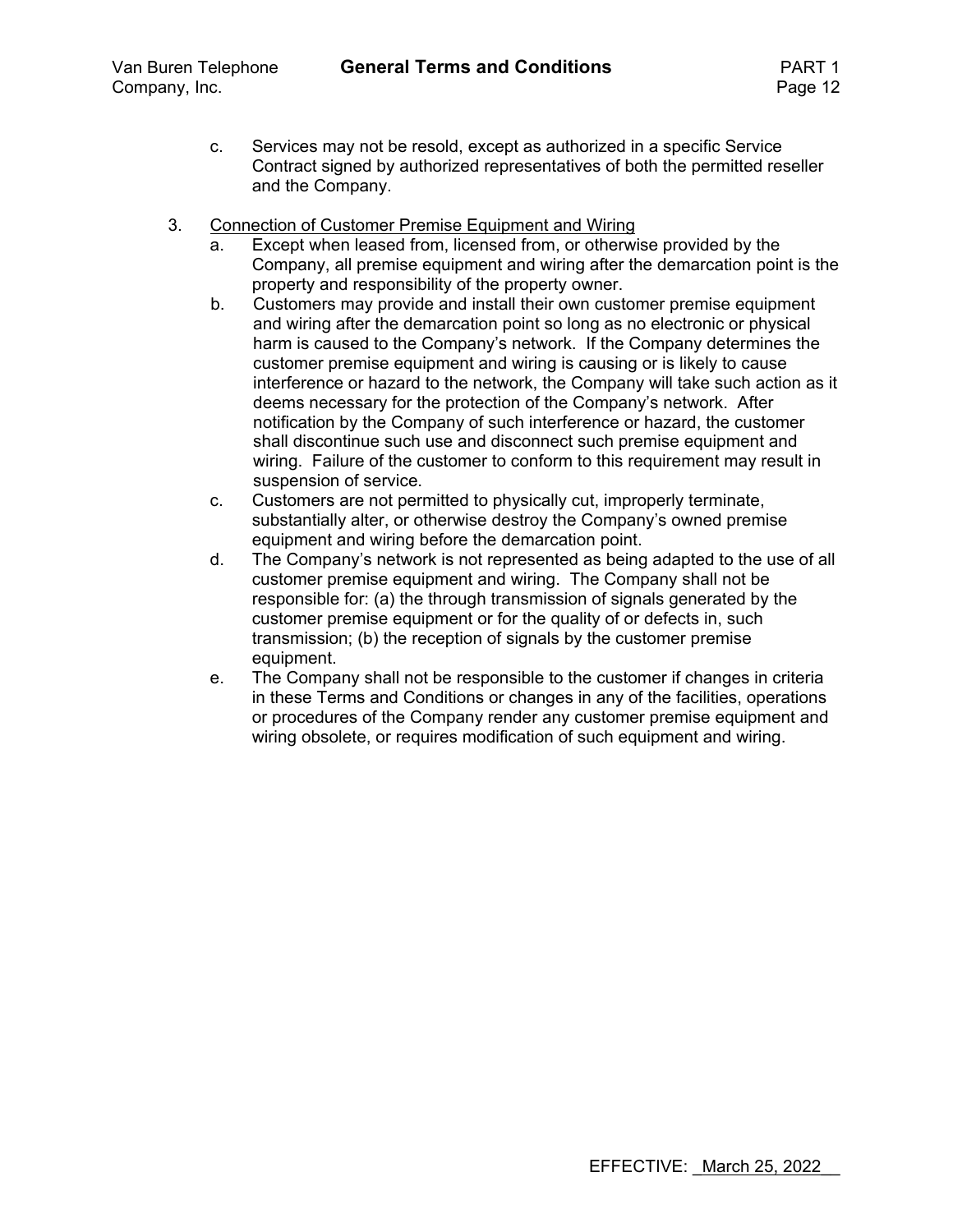- c. Services may not be resold, except as authorized in a specific Service Contract signed by authorized representatives of both the permitted reseller and the Company.
- 3. Connection of Customer Premise Equipment and Wiring
	- a. Except when leased from, licensed from, or otherwise provided by the Company, all premise equipment and wiring after the demarcation point is the property and responsibility of the property owner.
	- b. Customers may provide and install their own customer premise equipment and wiring after the demarcation point so long as no electronic or physical harm is caused to the Company's network. If the Company determines the customer premise equipment and wiring is causing or is likely to cause interference or hazard to the network, the Company will take such action as it deems necessary for the protection of the Company's network. After notification by the Company of such interference or hazard, the customer shall discontinue such use and disconnect such premise equipment and wiring. Failure of the customer to conform to this requirement may result in suspension of service.
	- c. Customers are not permitted to physically cut, improperly terminate, substantially alter, or otherwise destroy the Company's owned premise equipment and wiring before the demarcation point.
	- d. The Company's network is not represented as being adapted to the use of all customer premise equipment and wiring. The Company shall not be responsible for: (a) the through transmission of signals generated by the customer premise equipment or for the quality of or defects in, such transmission; (b) the reception of signals by the customer premise equipment.
	- e. The Company shall not be responsible to the customer if changes in criteria in these Terms and Conditions or changes in any of the facilities, operations or procedures of the Company render any customer premise equipment and wiring obsolete, or requires modification of such equipment and wiring.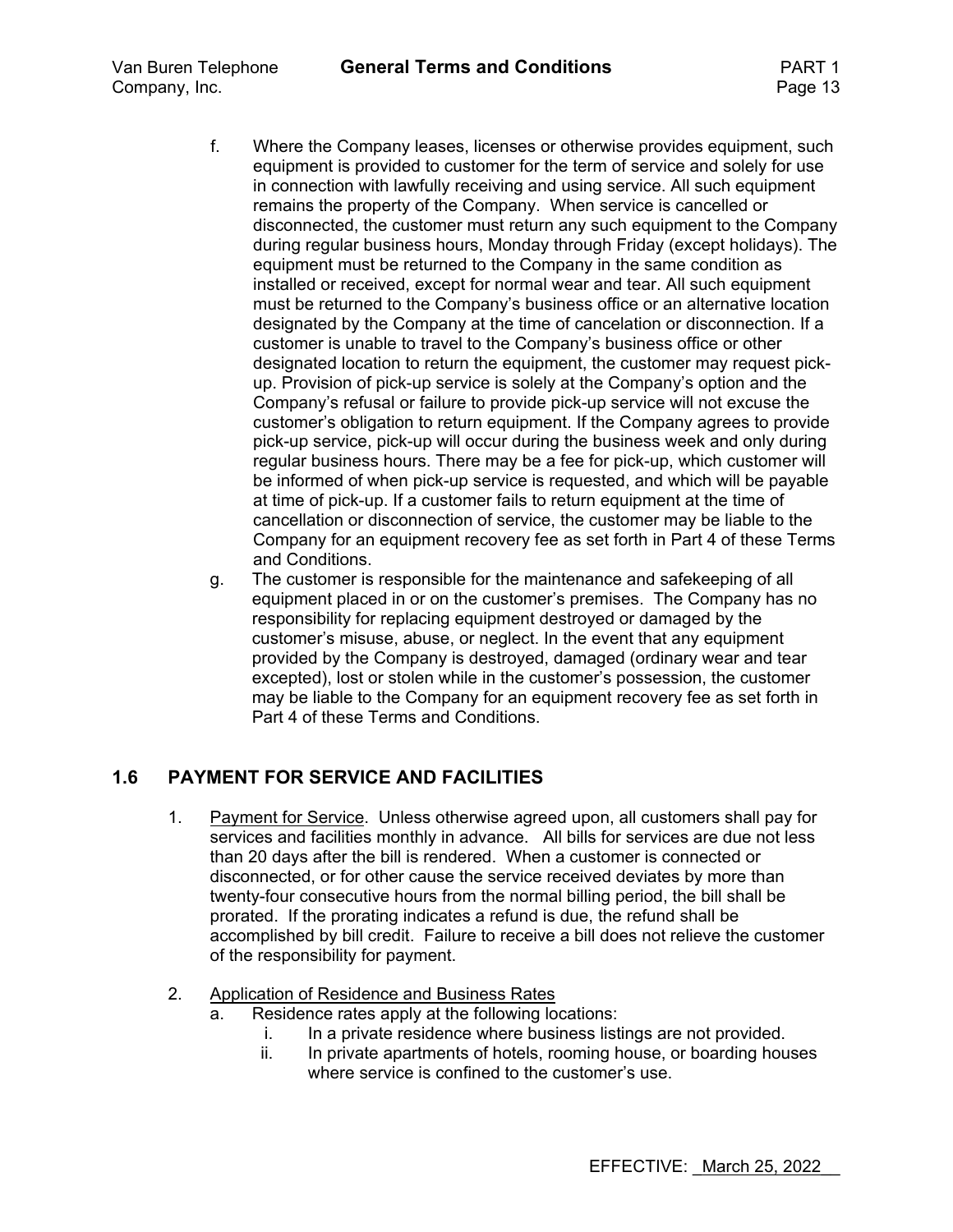- f. Where the Company leases, licenses or otherwise provides equipment, such equipment is provided to customer for the term of service and solely for use in connection with lawfully receiving and using service. All such equipment remains the property of the Company. When service is cancelled or disconnected, the customer must return any such equipment to the Company during regular business hours, Monday through Friday (except holidays). The equipment must be returned to the Company in the same condition as installed or received, except for normal wear and tear. All such equipment must be returned to the Company's business office or an alternative location designated by the Company at the time of cancelation or disconnection. If a customer is unable to travel to the Company's business office or other designated location to return the equipment, the customer may request pickup. Provision of pick-up service is solely at the Company's option and the Company's refusal or failure to provide pick-up service will not excuse the customer's obligation to return equipment. If the Company agrees to provide pick-up service, pick-up will occur during the business week and only during regular business hours. There may be a fee for pick-up, which customer will be informed of when pick-up service is requested, and which will be payable at time of pick-up. If a customer fails to return equipment at the time of cancellation or disconnection of service, the customer may be liable to the Company for an equipment recovery fee as set forth in Part 4 of these Terms and Conditions.
- g. The customer is responsible for the maintenance and safekeeping of all equipment placed in or on the customer's premises. The Company has no responsibility for replacing equipment destroyed or damaged by the customer's misuse, abuse, or neglect. In the event that any equipment provided by the Company is destroyed, damaged (ordinary wear and tear excepted), lost or stolen while in the customer's possession, the customer may be liable to the Company for an equipment recovery fee as set forth in Part 4 of these Terms and Conditions.

## **1.6 PAYMENT FOR SERVICE AND FACILITIES**

- 1. Payment for Service. Unless otherwise agreed upon, all customers shall pay for services and facilities monthly in advance. All bills for services are due not less than 20 days after the bill is rendered. When a customer is connected or disconnected, or for other cause the service received deviates by more than twenty-four consecutive hours from the normal billing period, the bill shall be prorated. If the prorating indicates a refund is due, the refund shall be accomplished by bill credit. Failure to receive a bill does not relieve the customer of the responsibility for payment.
- 2. Application of Residence and Business Rates
	- a. Residence rates apply at the following locations:
		- i. In a private residence where business listings are not provided.
		- ii. In private apartments of hotels, rooming house, or boarding houses where service is confined to the customer's use.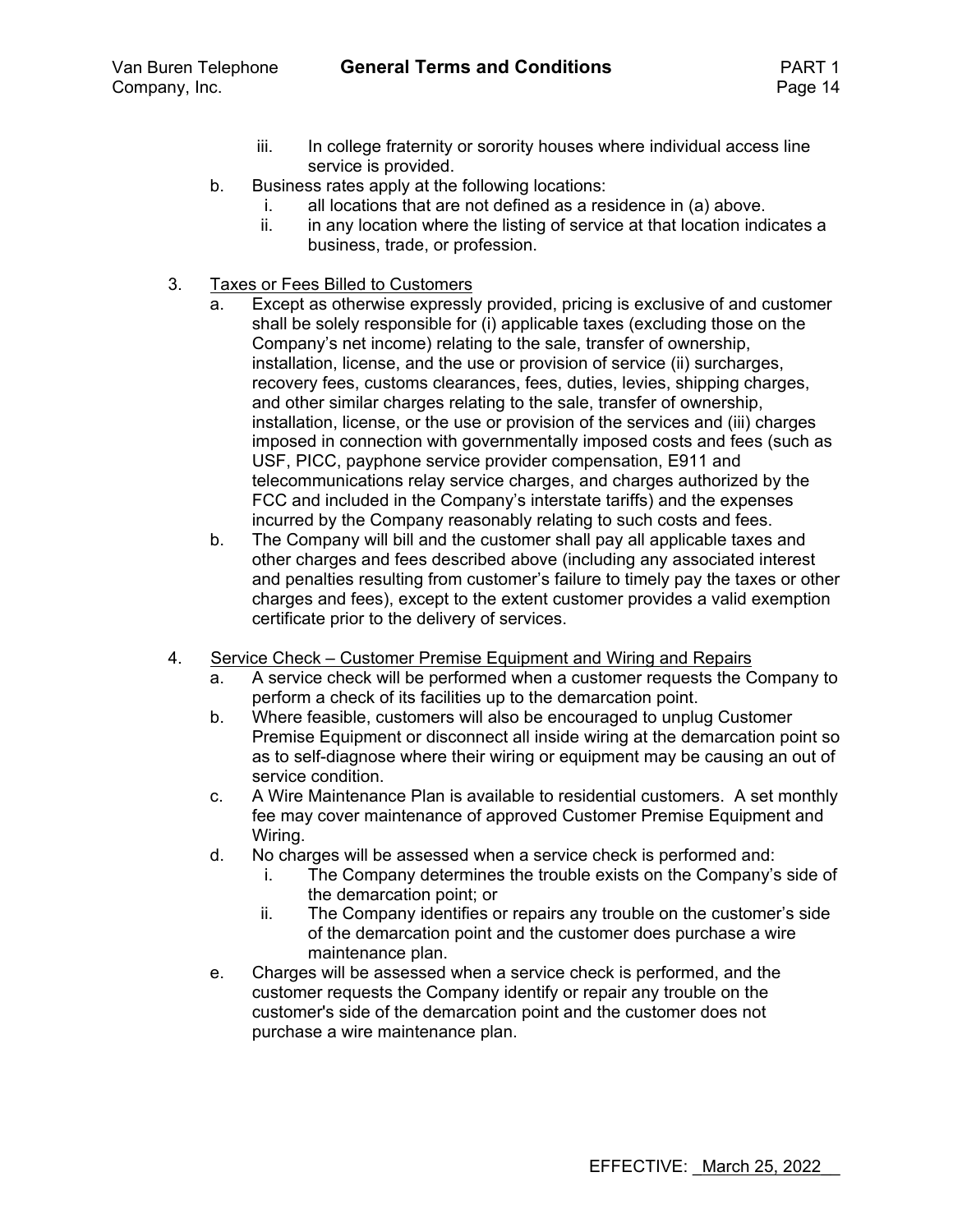- iii. In college fraternity or sorority houses where individual access line service is provided.
- b. Business rates apply at the following locations:
	- i. all locations that are not defined as a residence in (a) above.
	- ii. in any location where the listing of service at that location indicates a business, trade, or profession.
- 3. Taxes or Fees Billed to Customers
	- a. Except as otherwise expressly provided, pricing is exclusive of and customer shall be solely responsible for (i) applicable taxes (excluding those on the Company's net income) relating to the sale, transfer of ownership, installation, license, and the use or provision of service (ii) surcharges, recovery fees, customs clearances, fees, duties, levies, shipping charges, and other similar charges relating to the sale, transfer of ownership, installation, license, or the use or provision of the services and (iii) charges imposed in connection with governmentally imposed costs and fees (such as USF, PICC, payphone service provider compensation, E911 and telecommunications relay service charges, and charges authorized by the FCC and included in the Company's interstate tariffs) and the expenses incurred by the Company reasonably relating to such costs and fees.
	- b. The Company will bill and the customer shall pay all applicable taxes and other charges and fees described above (including any associated interest and penalties resulting from customer's failure to timely pay the taxes or other charges and fees), except to the extent customer provides a valid exemption certificate prior to the delivery of services.
- 4. Service Check Customer Premise Equipment and Wiring and Repairs
	- a. A service check will be performed when a customer requests the Company to perform a check of its facilities up to the demarcation point.
	- b. Where feasible, customers will also be encouraged to unplug Customer Premise Equipment or disconnect all inside wiring at the demarcation point so as to self-diagnose where their wiring or equipment may be causing an out of service condition.
	- c. A Wire Maintenance Plan is available to residential customers. A set monthly fee may cover maintenance of approved Customer Premise Equipment and Wiring.
	- d. No charges will be assessed when a service check is performed and:
		- i. The Company determines the trouble exists on the Company's side of the demarcation point; or
		- ii. The Company identifies or repairs any trouble on the customer's side of the demarcation point and the customer does purchase a wire maintenance plan.
	- e. Charges will be assessed when a service check is performed, and the customer requests the Company identify or repair any trouble on the customer's side of the demarcation point and the customer does not purchase a wire maintenance plan.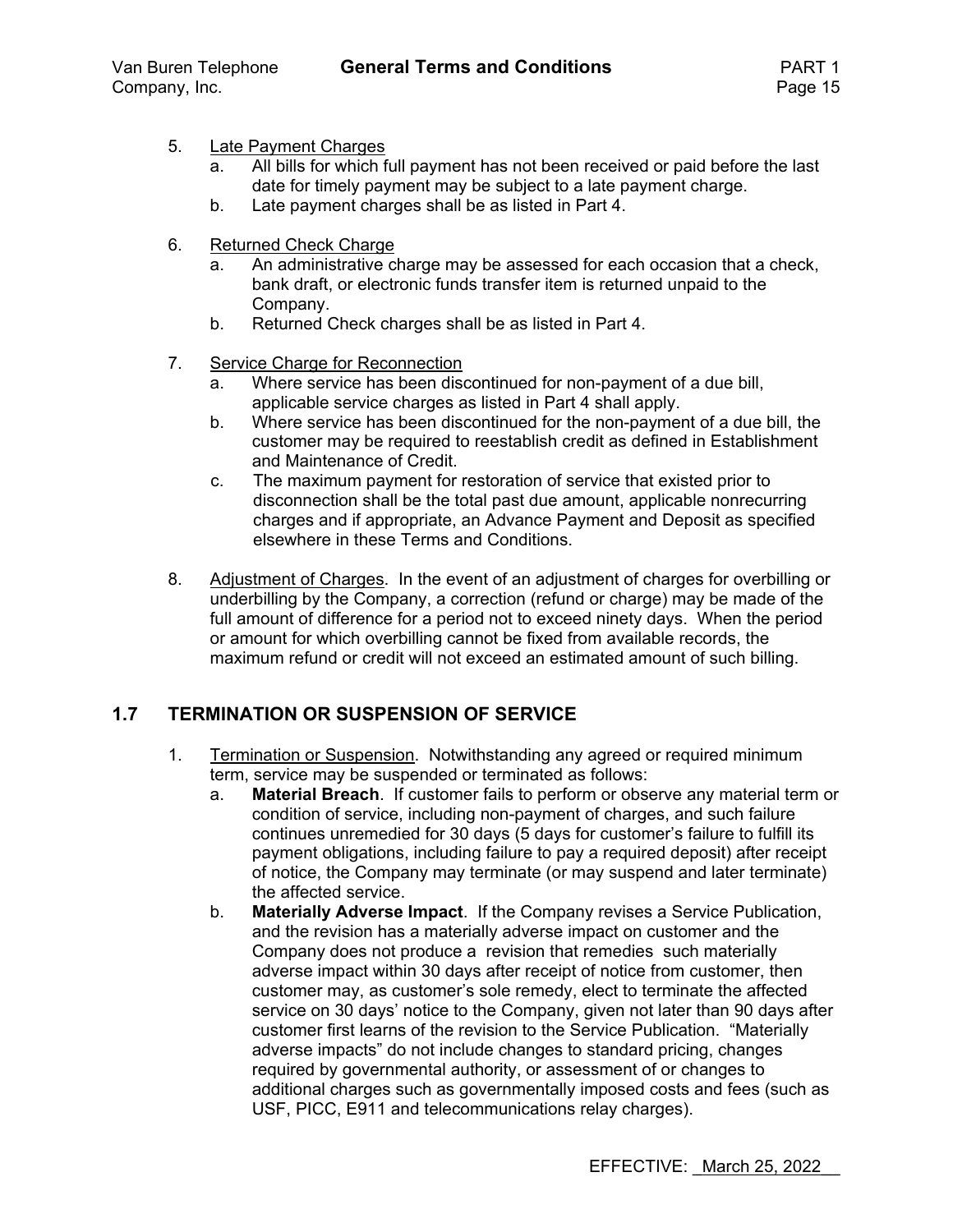- 5. Late Payment Charges
	- a. All bills for which full payment has not been received or paid before the last date for timely payment may be subject to a late payment charge.
	- b. Late payment charges shall be as listed in Part 4.
- 6. Returned Check Charge
	- a. An administrative charge may be assessed for each occasion that a check, bank draft, or electronic funds transfer item is returned unpaid to the Company.
	- b. Returned Check charges shall be as listed in Part 4.
- 7. Service Charge for Reconnection
	- a. Where service has been discontinued for non-payment of a due bill, applicable service charges as listed in Part 4 shall apply.
	- b. Where service has been discontinued for the non-payment of a due bill, the customer may be required to reestablish credit as defined in Establishment and Maintenance of Credit.
	- c. The maximum payment for restoration of service that existed prior to disconnection shall be the total past due amount, applicable nonrecurring charges and if appropriate, an Advance Payment and Deposit as specified elsewhere in these Terms and Conditions.
- 8. Adjustment of Charges. In the event of an adjustment of charges for overbilling or underbilling by the Company, a correction (refund or charge) may be made of the full amount of difference for a period not to exceed ninety days. When the period or amount for which overbilling cannot be fixed from available records, the maximum refund or credit will not exceed an estimated amount of such billing.

### **1.7 TERMINATION OR SUSPENSION OF SERVICE**

- 1. Termination or Suspension. Notwithstanding any agreed or required minimum term, service may be suspended or terminated as follows:
	- a. **Material Breach**. If customer fails to perform or observe any material term or condition of service, including non-payment of charges, and such failure continues unremedied for 30 days (5 days for customer's failure to fulfill its payment obligations, including failure to pay a required deposit) after receipt of notice, the Company may terminate (or may suspend and later terminate) the affected service.
	- b. **Materially Adverse Impact**. If the Company revises a Service Publication, and the revision has a materially adverse impact on customer and the Company does not produce a revision that remedies such materially adverse impact within 30 days after receipt of notice from customer, then customer may, as customer's sole remedy, elect to terminate the affected service on 30 days' notice to the Company, given not later than 90 days after customer first learns of the revision to the Service Publication. "Materially adverse impacts" do not include changes to standard pricing, changes required by governmental authority, or assessment of or changes to additional charges such as governmentally imposed costs and fees (such as USF, PICC, E911 and telecommunications relay charges).

EFFECTIVE: March 25, 2022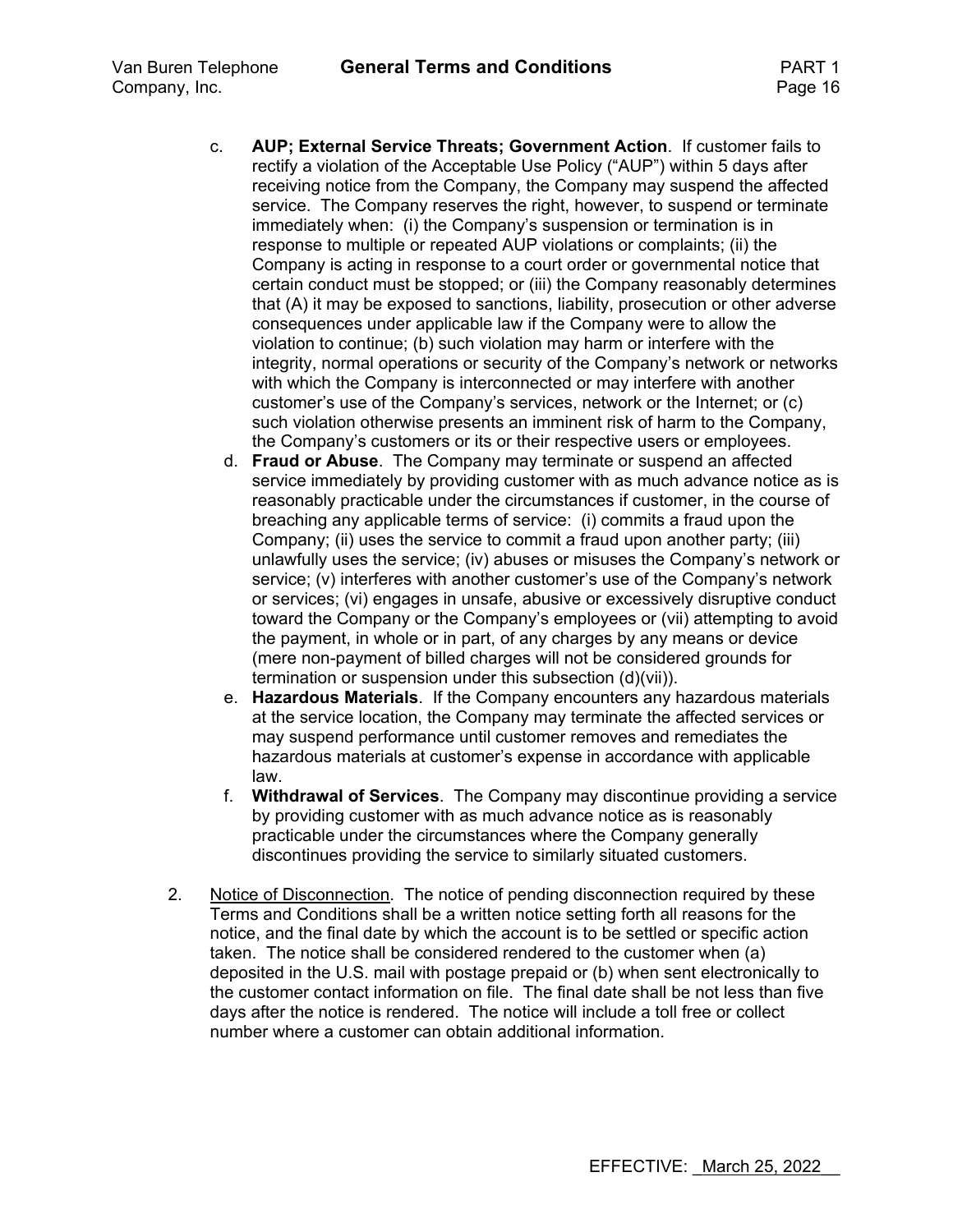- c. **AUP; External Service Threats; Government Action**. If customer fails to rectify a violation of the Acceptable Use Policy ("AUP") within 5 days after receiving notice from the Company, the Company may suspend the affected service. The Company reserves the right, however, to suspend or terminate immediately when: (i) the Company's suspension or termination is in response to multiple or repeated AUP violations or complaints; (ii) the Company is acting in response to a court order or governmental notice that certain conduct must be stopped; or (iii) the Company reasonably determines that (A) it may be exposed to sanctions, liability, prosecution or other adverse consequences under applicable law if the Company were to allow the violation to continue; (b) such violation may harm or interfere with the integrity, normal operations or security of the Company's network or networks with which the Company is interconnected or may interfere with another customer's use of the Company's services, network or the Internet; or (c) such violation otherwise presents an imminent risk of harm to the Company, the Company's customers or its or their respective users or employees.
	- d. **Fraud or Abuse**. The Company may terminate or suspend an affected service immediately by providing customer with as much advance notice as is reasonably practicable under the circumstances if customer, in the course of breaching any applicable terms of service: (i) commits a fraud upon the Company; (ii) uses the service to commit a fraud upon another party; (iii) unlawfully uses the service; (iv) abuses or misuses the Company's network or service; (v) interferes with another customer's use of the Company's network or services; (vi) engages in unsafe, abusive or excessively disruptive conduct toward the Company or the Company's employees or (vii) attempting to avoid the payment, in whole or in part, of any charges by any means or device (mere non-payment of billed charges will not be considered grounds for termination or suspension under this subsection (d)(vii)).
	- e. **Hazardous Materials**. If the Company encounters any hazardous materials at the service location, the Company may terminate the affected services or may suspend performance until customer removes and remediates the hazardous materials at customer's expense in accordance with applicable law.
	- f. **Withdrawal of Services**. The Company may discontinue providing a service by providing customer with as much advance notice as is reasonably practicable under the circumstances where the Company generally discontinues providing the service to similarly situated customers.
- 2. Notice of Disconnection. The notice of pending disconnection required by these Terms and Conditions shall be a written notice setting forth all reasons for the notice, and the final date by which the account is to be settled or specific action taken. The notice shall be considered rendered to the customer when (a) deposited in the U.S. mail with postage prepaid or (b) when sent electronically to the customer contact information on file. The final date shall be not less than five days after the notice is rendered. The notice will include a toll free or collect number where a customer can obtain additional information.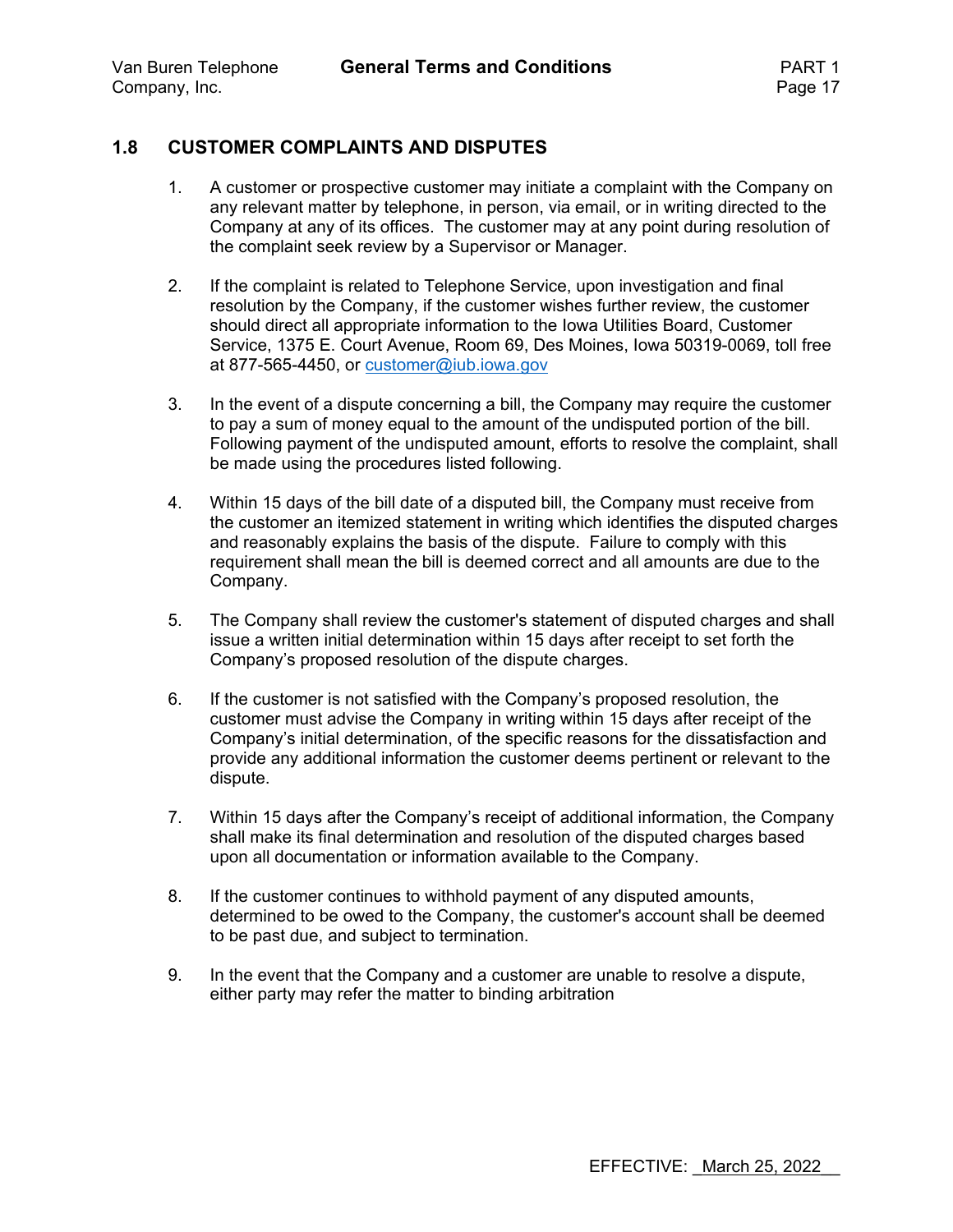#### **1.8 CUSTOMER COMPLAINTS AND DISPUTES**

- 1. A customer or prospective customer may initiate a complaint with the Company on any relevant matter by telephone, in person, via email, or in writing directed to the Company at any of its offices. The customer may at any point during resolution of the complaint seek review by a Supervisor or Manager.
- 2. If the complaint is related to Telephone Service, upon investigation and final resolution by the Company, if the customer wishes further review, the customer should direct all appropriate information to the Iowa Utilities Board, Customer Service, 1375 E. Court Avenue, Room 69, Des Moines, Iowa 50319-0069, toll free at 877-565-4450, or customer@iub.iowa.gov
- 3. In the event of a dispute concerning a bill, the Company may require the customer to pay a sum of money equal to the amount of the undisputed portion of the bill. Following payment of the undisputed amount, efforts to resolve the complaint, shall be made using the procedures listed following.
- 4. Within 15 days of the bill date of a disputed bill, the Company must receive from the customer an itemized statement in writing which identifies the disputed charges and reasonably explains the basis of the dispute. Failure to comply with this requirement shall mean the bill is deemed correct and all amounts are due to the Company.
- 5. The Company shall review the customer's statement of disputed charges and shall issue a written initial determination within 15 days after receipt to set forth the Company's proposed resolution of the dispute charges.
- 6. If the customer is not satisfied with the Company's proposed resolution, the customer must advise the Company in writing within 15 days after receipt of the Company's initial determination, of the specific reasons for the dissatisfaction and provide any additional information the customer deems pertinent or relevant to the dispute.
- 7. Within 15 days after the Company's receipt of additional information, the Company shall make its final determination and resolution of the disputed charges based upon all documentation or information available to the Company.
- 8. If the customer continues to withhold payment of any disputed amounts, determined to be owed to the Company, the customer's account shall be deemed to be past due, and subject to termination.
- 9. In the event that the Company and a customer are unable to resolve a dispute, either party may refer the matter to binding arbitration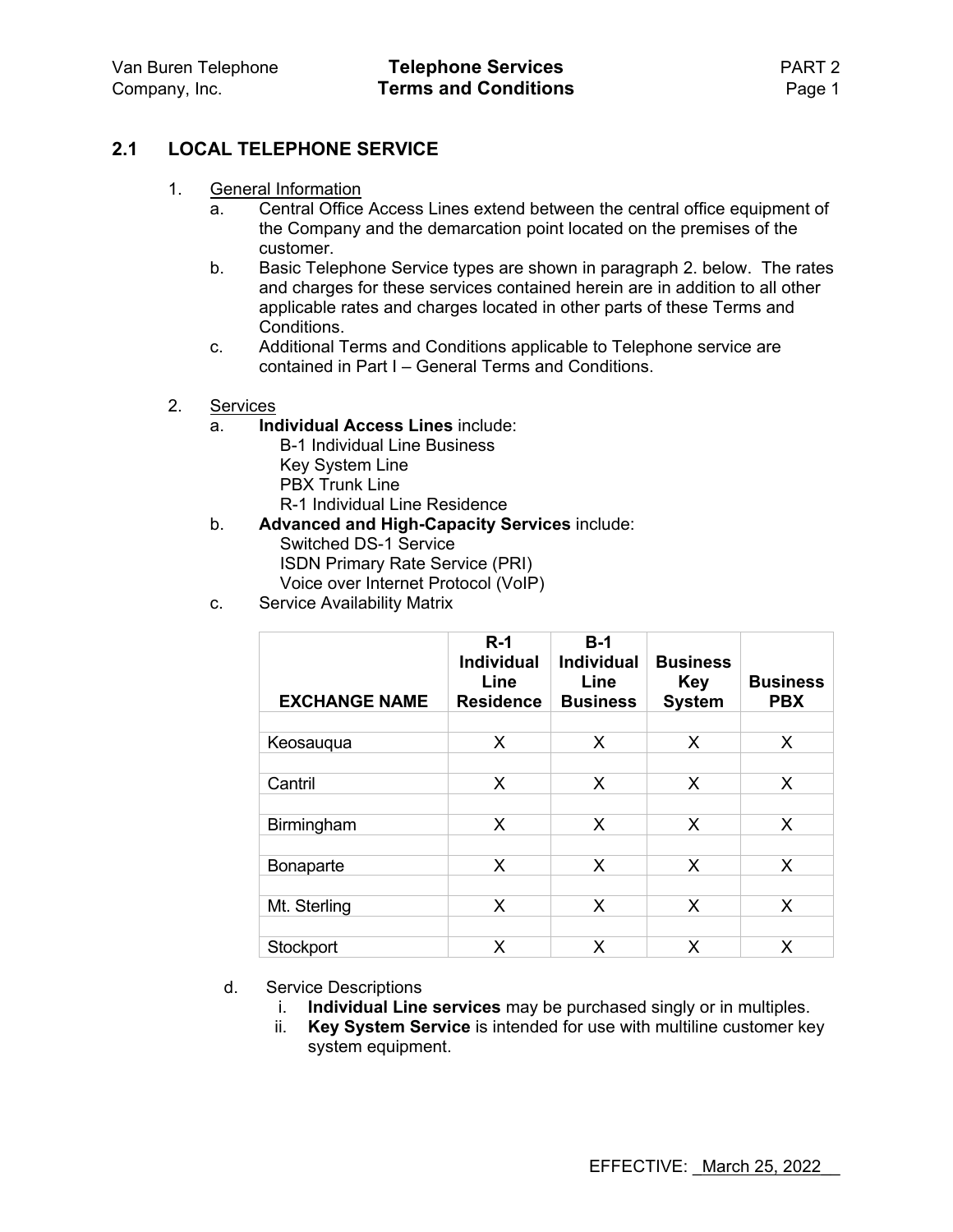### **2.1 LOCAL TELEPHONE SERVICE**

- 1. General Information
	- a. Central Office Access Lines extend between the central office equipment of the Company and the demarcation point located on the premises of the customer.
	- b. Basic Telephone Service types are shown in paragraph 2. below. The rates and charges for these services contained herein are in addition to all other applicable rates and charges located in other parts of these Terms and Conditions.
	- c. Additional Terms and Conditions applicable to Telephone service are contained in Part I – General Terms and Conditions.
- 2. Services
	- a. **Individual Access Lines** include:
		- B-1 Individual Line Business Key System Line PBX Trunk Line R-1 Individual Line Residence
	- b. **Advanced and High-Capacity Services** include: Switched DS-1 Service ISDN Primary Rate Service (PRI) Voice over Internet Protocol (VoIP)
	- c. Service Availability Matrix

| <b>EXCHANGE NAME</b> | $R-1$<br><b>Individual</b><br>Line<br><b>Residence</b> | $B-1$<br><b>Individual</b><br>Line<br><b>Business</b> | <b>Business</b><br><b>Key</b><br><b>System</b> | <b>Business</b><br><b>PBX</b> |
|----------------------|--------------------------------------------------------|-------------------------------------------------------|------------------------------------------------|-------------------------------|
| Keosaugua            | X                                                      | X                                                     | X                                              | X                             |
|                      |                                                        |                                                       |                                                |                               |
| Cantril              | X                                                      | X                                                     | X                                              | X                             |
|                      |                                                        |                                                       |                                                |                               |
| Birmingham           | X                                                      | X                                                     | X                                              | X                             |
|                      |                                                        |                                                       |                                                |                               |
| Bonaparte            | X                                                      | X                                                     | X                                              | X                             |
| Mt. Sterling         | X                                                      | X                                                     | X                                              | X                             |
|                      |                                                        |                                                       |                                                |                               |
| Stockport            | X                                                      | X                                                     | X                                              | X                             |

- d. Service Descriptions
	- i. **Individual Line services** may be purchased singly or in multiples.
	- ii. **Key System Service** is intended for use with multiline customer key system equipment.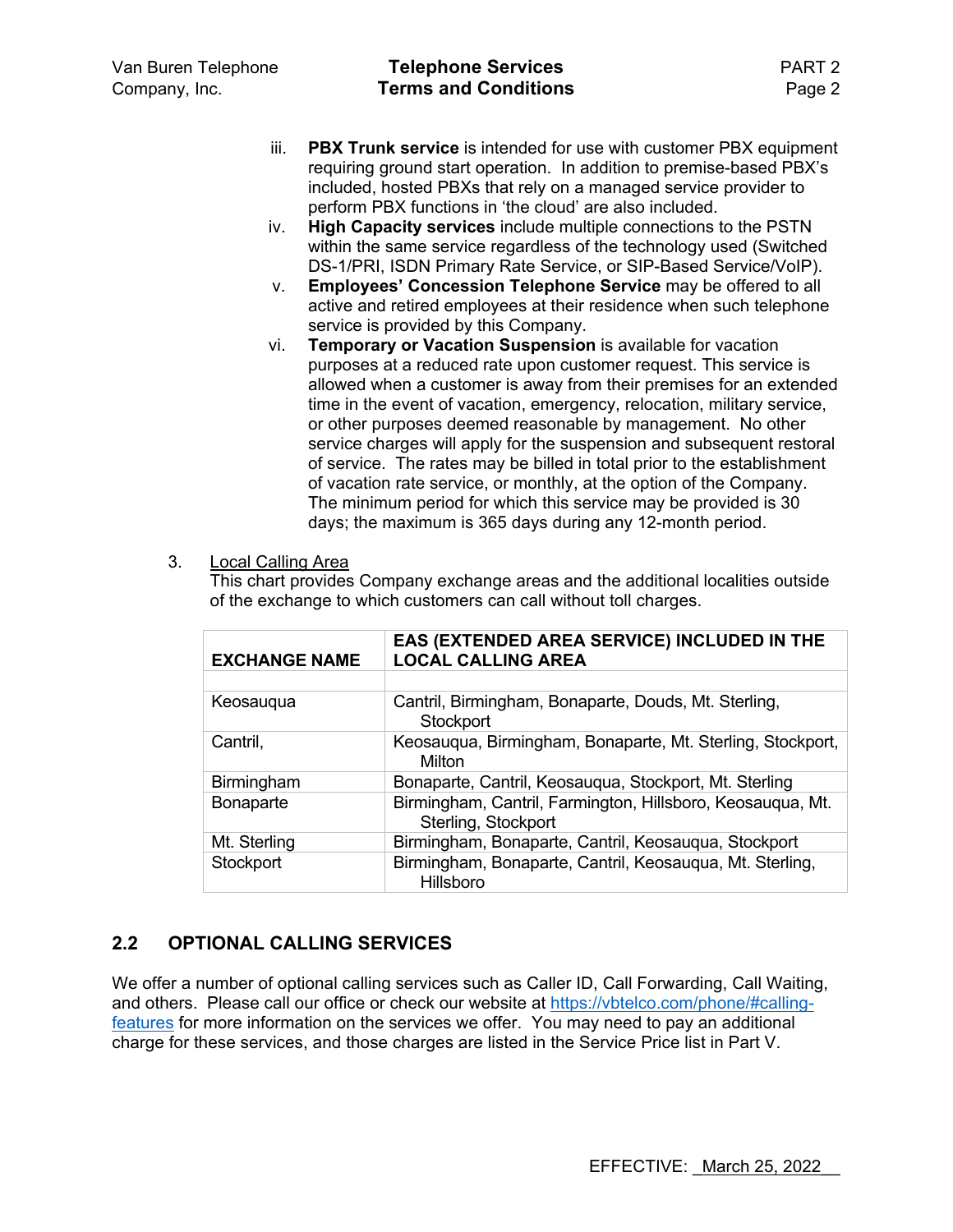- iii. **PBX Trunk service** is intended for use with customer PBX equipment requiring ground start operation. In addition to premise-based PBX's included, hosted PBXs that rely on a managed service provider to perform PBX functions in 'the cloud' are also included.
- iv. **High Capacity services** include multiple connections to the PSTN within the same service regardless of the technology used (Switched DS-1/PRI, ISDN Primary Rate Service, or SIP-Based Service/VoIP).
- v. **Employees' Concession Telephone Service** may be offered to all active and retired employees at their residence when such telephone service is provided by this Company.
- vi. **Temporary or Vacation Suspension** is available for vacation purposes at a reduced rate upon customer request. This service is allowed when a customer is away from their premises for an extended time in the event of vacation, emergency, relocation, military service, or other purposes deemed reasonable by management. No other service charges will apply for the suspension and subsequent restoral of service. The rates may be billed in total prior to the establishment of vacation rate service, or monthly, at the option of the Company. The minimum period for which this service may be provided is 30 days; the maximum is 365 days during any 12-month period.
- 3. Local Calling Area

This chart provides Company exchange areas and the additional localities outside of the exchange to which customers can call without toll charges.

| <b>EXCHANGE NAME</b> | EAS (EXTENDED AREA SERVICE) INCLUDED IN THE<br><b>LOCAL CALLING AREA</b>          |
|----------------------|-----------------------------------------------------------------------------------|
|                      |                                                                                   |
| Keosaugua            | Cantril, Birmingham, Bonaparte, Douds, Mt. Sterling,<br>Stockport                 |
| Cantril,             | Keosauqua, Birmingham, Bonaparte, Mt. Sterling, Stockport,<br>Milton              |
| Birmingham           | Bonaparte, Cantril, Keosauqua, Stockport, Mt. Sterling                            |
| Bonaparte            | Birmingham, Cantril, Farmington, Hillsboro, Keosauqua, Mt.<br>Sterling, Stockport |
| Mt. Sterling         | Birmingham, Bonaparte, Cantril, Keosauqua, Stockport                              |
| Stockport            | Birmingham, Bonaparte, Cantril, Keosauqua, Mt. Sterling,<br>Hillsboro             |

## **2.2 OPTIONAL CALLING SERVICES**

We offer a number of optional calling services such as Caller ID, Call Forwarding, Call Waiting, and others. Please call our office or check our website at https://vbtelco.com/phone/#callingfeatures for more information on the services we offer. You may need to pay an additional charge for these services, and those charges are listed in the Service Price list in Part V.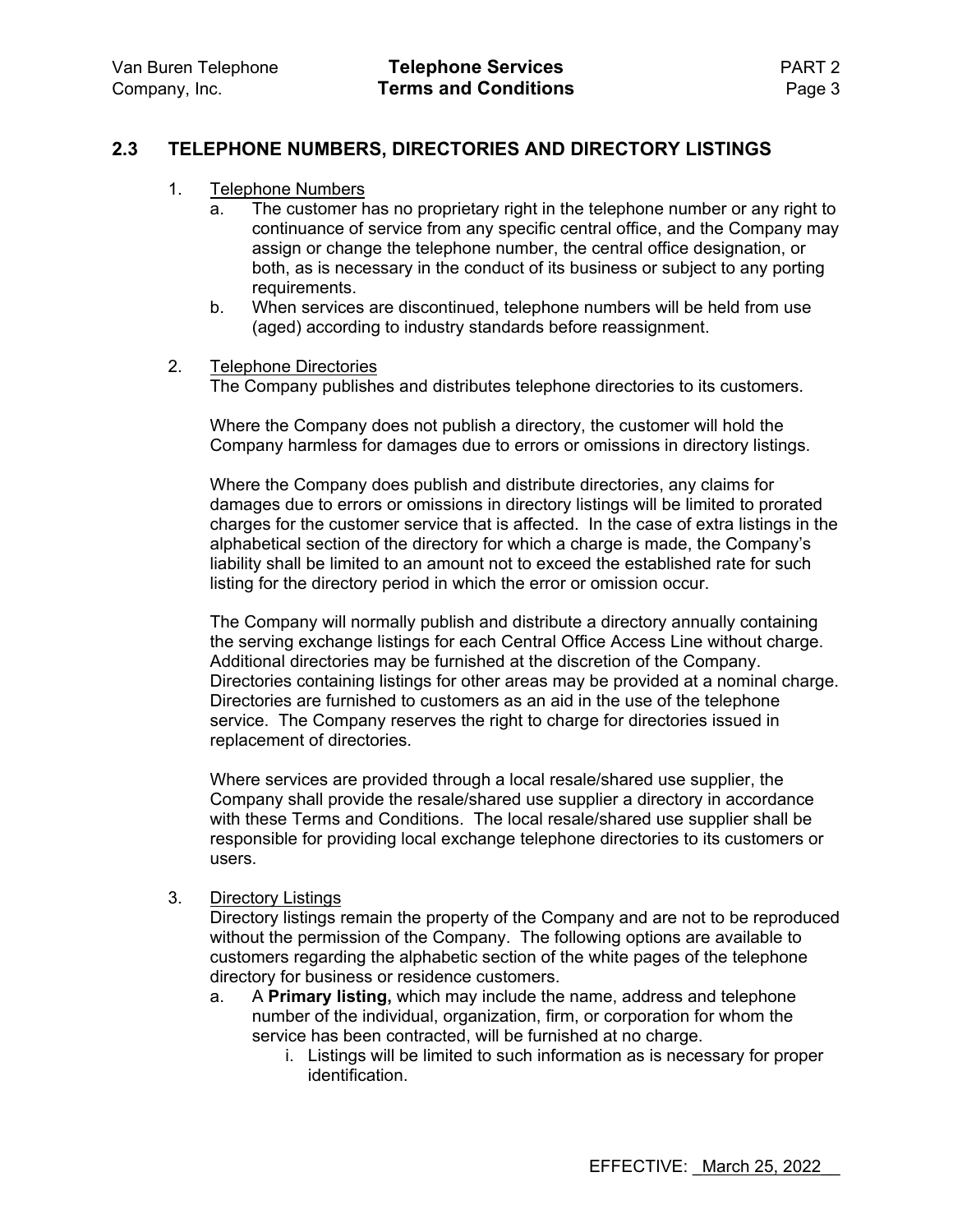#### **2.3 TELEPHONE NUMBERS, DIRECTORIES AND DIRECTORY LISTINGS**

- 1. Telephone Numbers
	- a. The customer has no proprietary right in the telephone number or any right to continuance of service from any specific central office, and the Company may assign or change the telephone number, the central office designation, or both, as is necessary in the conduct of its business or subject to any porting requirements.
	- b. When services are discontinued, telephone numbers will be held from use (aged) according to industry standards before reassignment.
- 2. Telephone Directories

The Company publishes and distributes telephone directories to its customers.

Where the Company does not publish a directory, the customer will hold the Company harmless for damages due to errors or omissions in directory listings.

Where the Company does publish and distribute directories, any claims for damages due to errors or omissions in directory listings will be limited to prorated charges for the customer service that is affected. In the case of extra listings in the alphabetical section of the directory for which a charge is made, the Company's liability shall be limited to an amount not to exceed the established rate for such listing for the directory period in which the error or omission occur.

The Company will normally publish and distribute a directory annually containing the serving exchange listings for each Central Office Access Line without charge. Additional directories may be furnished at the discretion of the Company. Directories containing listings for other areas may be provided at a nominal charge. Directories are furnished to customers as an aid in the use of the telephone service. The Company reserves the right to charge for directories issued in replacement of directories.

Where services are provided through a local resale/shared use supplier, the Company shall provide the resale/shared use supplier a directory in accordance with these Terms and Conditions. The local resale/shared use supplier shall be responsible for providing local exchange telephone directories to its customers or users.

3. Directory Listings

Directory listings remain the property of the Company and are not to be reproduced without the permission of the Company. The following options are available to customers regarding the alphabetic section of the white pages of the telephone directory for business or residence customers.

- a. A **Primary listing,** which may include the name, address and telephone number of the individual, organization, firm, or corporation for whom the service has been contracted, will be furnished at no charge.
	- i. Listings will be limited to such information as is necessary for proper identification.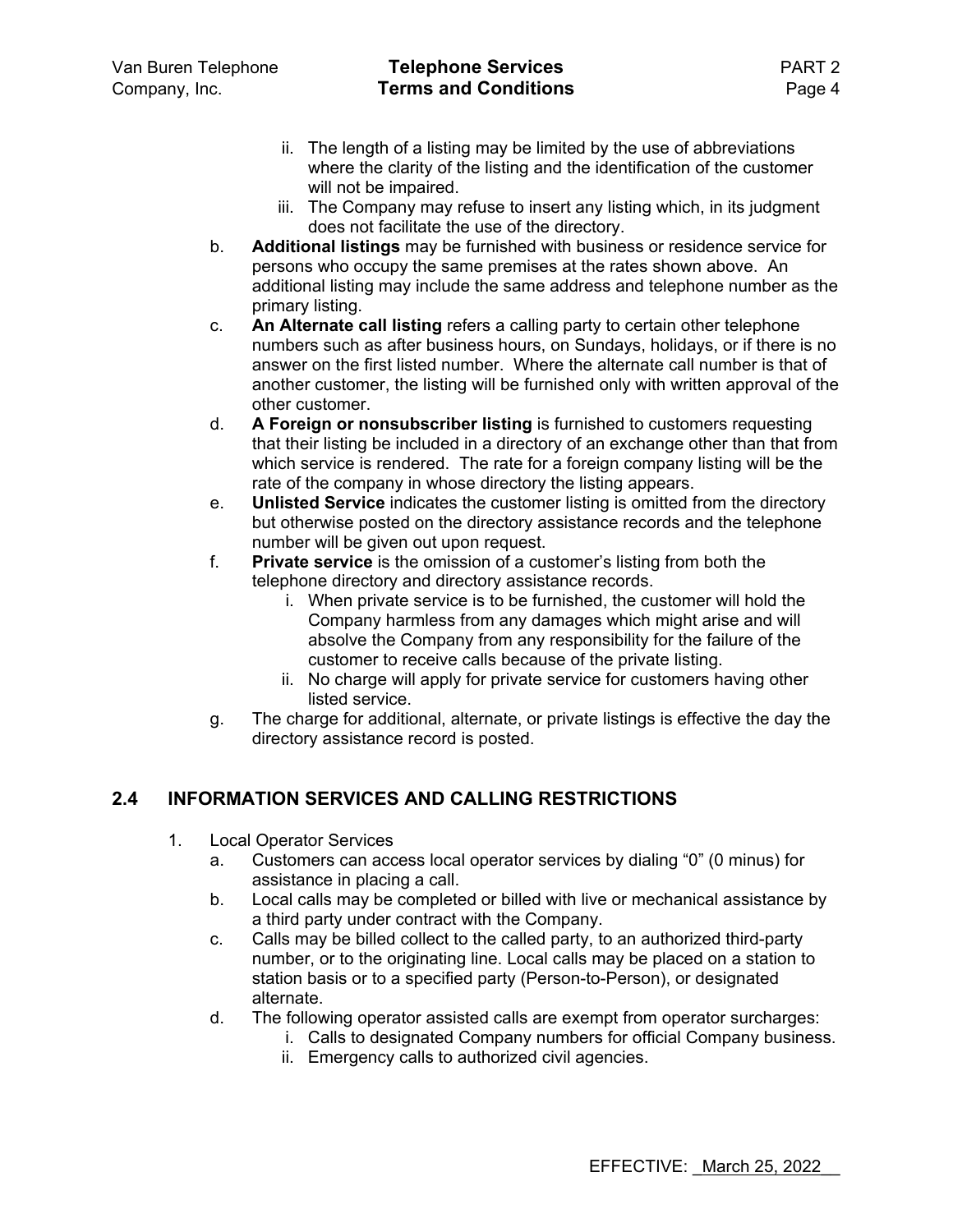- ii. The length of a listing may be limited by the use of abbreviations where the clarity of the listing and the identification of the customer will not be impaired.
- iii. The Company may refuse to insert any listing which, in its judgment does not facilitate the use of the directory.
- b. **Additional listings** may be furnished with business or residence service for persons who occupy the same premises at the rates shown above. An additional listing may include the same address and telephone number as the primary listing.
- c. **An Alternate call listing** refers a calling party to certain other telephone numbers such as after business hours, on Sundays, holidays, or if there is no answer on the first listed number. Where the alternate call number is that of another customer, the listing will be furnished only with written approval of the other customer.
- d. **A Foreign or nonsubscriber listing** is furnished to customers requesting that their listing be included in a directory of an exchange other than that from which service is rendered. The rate for a foreign company listing will be the rate of the company in whose directory the listing appears.
- e. **Unlisted Service** indicates the customer listing is omitted from the directory but otherwise posted on the directory assistance records and the telephone number will be given out upon request.
- f. **Private service** is the omission of a customer's listing from both the telephone directory and directory assistance records.
	- i. When private service is to be furnished, the customer will hold the Company harmless from any damages which might arise and will absolve the Company from any responsibility for the failure of the customer to receive calls because of the private listing.
	- ii. No charge will apply for private service for customers having other listed service.
- g. The charge for additional, alternate, or private listings is effective the day the directory assistance record is posted.

## **2.4 INFORMATION SERVICES AND CALLING RESTRICTIONS**

- 1. Local Operator Services
	- a. Customers can access local operator services by dialing "0" (0 minus) for assistance in placing a call.
	- b. Local calls may be completed or billed with live or mechanical assistance by a third party under contract with the Company.
	- c. Calls may be billed collect to the called party, to an authorized third-party number, or to the originating line. Local calls may be placed on a station to station basis or to a specified party (Person-to-Person), or designated alternate.
	- d. The following operator assisted calls are exempt from operator surcharges:
		- i. Calls to designated Company numbers for official Company business.
		- ii. Emergency calls to authorized civil agencies.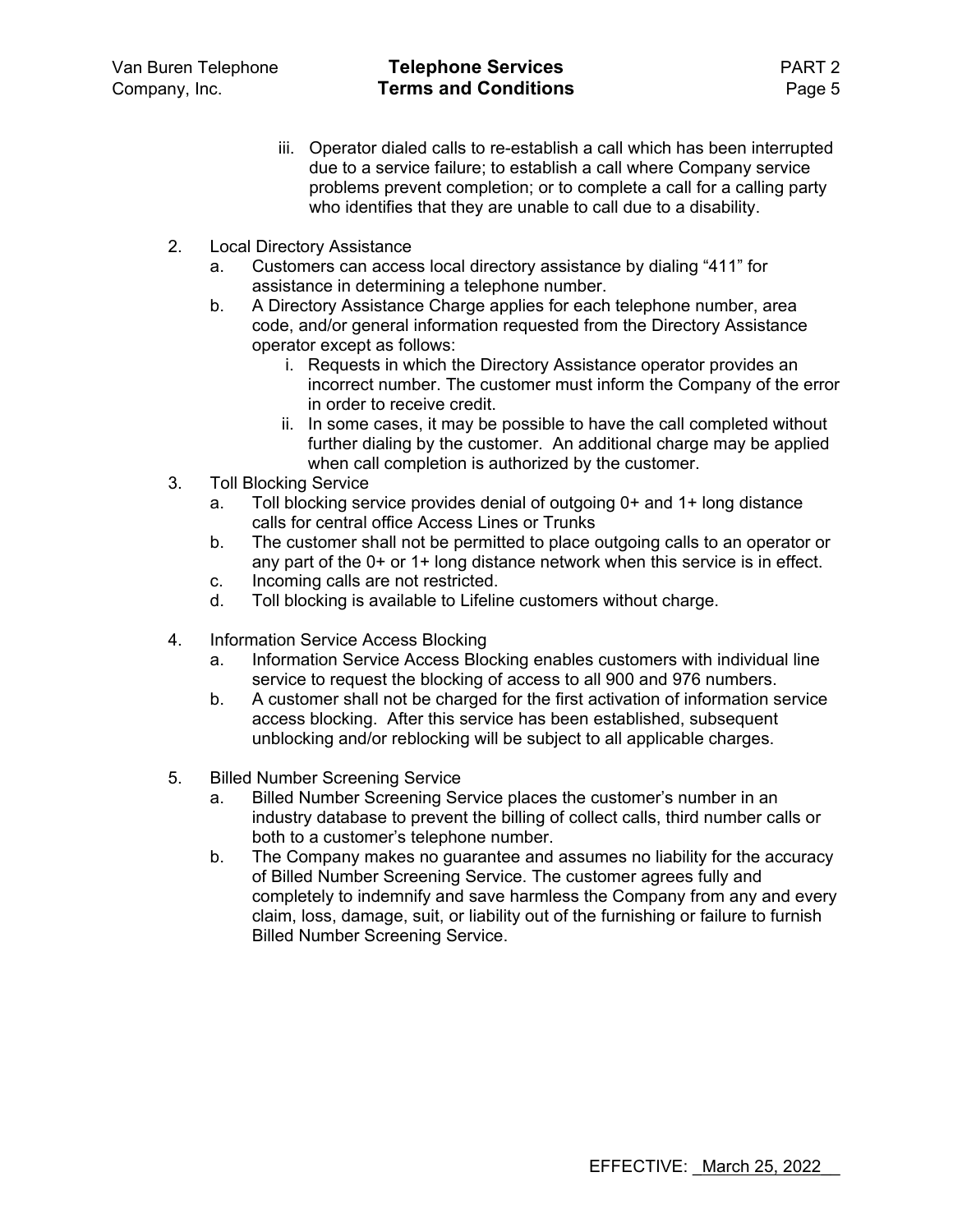- iii. Operator dialed calls to re-establish a call which has been interrupted due to a service failure; to establish a call where Company service problems prevent completion; or to complete a call for a calling party who identifies that they are unable to call due to a disability.
- 2. Local Directory Assistance
	- a. Customers can access local directory assistance by dialing "411" for assistance in determining a telephone number.
	- b. A Directory Assistance Charge applies for each telephone number, area code, and/or general information requested from the Directory Assistance operator except as follows:
		- i. Requests in which the Directory Assistance operator provides an incorrect number. The customer must inform the Company of the error in order to receive credit.
		- ii. In some cases, it may be possible to have the call completed without further dialing by the customer. An additional charge may be applied when call completion is authorized by the customer.
- 3. Toll Blocking Service
	- a. Toll blocking service provides denial of outgoing 0+ and 1+ long distance calls for central office Access Lines or Trunks
	- b. The customer shall not be permitted to place outgoing calls to an operator or any part of the 0+ or 1+ long distance network when this service is in effect.
	- c. Incoming calls are not restricted.
	- d. Toll blocking is available to Lifeline customers without charge.
- 4. Information Service Access Blocking
	- a. Information Service Access Blocking enables customers with individual line service to request the blocking of access to all 900 and 976 numbers.
	- b. A customer shall not be charged for the first activation of information service access blocking. After this service has been established, subsequent unblocking and/or reblocking will be subject to all applicable charges.
- 5. Billed Number Screening Service
	- a. Billed Number Screening Service places the customer's number in an industry database to prevent the billing of collect calls, third number calls or both to a customer's telephone number.
	- b. The Company makes no guarantee and assumes no liability for the accuracy of Billed Number Screening Service. The customer agrees fully and completely to indemnify and save harmless the Company from any and every claim, loss, damage, suit, or liability out of the furnishing or failure to furnish Billed Number Screening Service.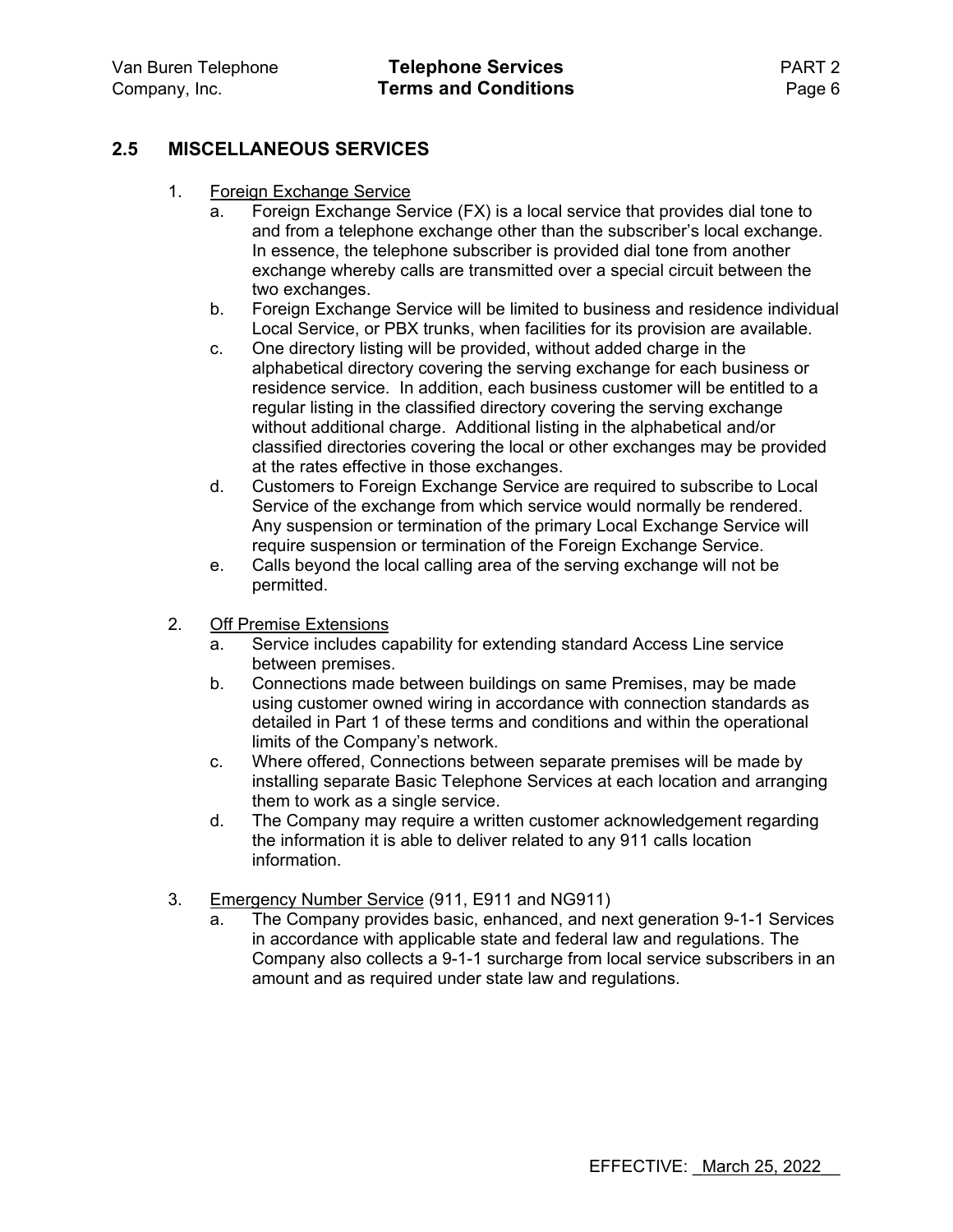### **2.5 MISCELLANEOUS SERVICES**

- 1. Foreign Exchange Service
	- a. Foreign Exchange Service (FX) is a local service that provides dial tone to and from a telephone exchange other than the subscriber's local exchange. In essence, the telephone subscriber is provided dial tone from another exchange whereby calls are transmitted over a special circuit between the two exchanges.
	- b. Foreign Exchange Service will be limited to business and residence individual Local Service, or PBX trunks, when facilities for its provision are available.
	- c. One directory listing will be provided, without added charge in the alphabetical directory covering the serving exchange for each business or residence service. In addition, each business customer will be entitled to a regular listing in the classified directory covering the serving exchange without additional charge. Additional listing in the alphabetical and/or classified directories covering the local or other exchanges may be provided at the rates effective in those exchanges.
	- d. Customers to Foreign Exchange Service are required to subscribe to Local Service of the exchange from which service would normally be rendered. Any suspension or termination of the primary Local Exchange Service will require suspension or termination of the Foreign Exchange Service.
	- e. Calls beyond the local calling area of the serving exchange will not be permitted.
- 2. Off Premise Extensions
	- a. Service includes capability for extending standard Access Line service between premises.
	- b. Connections made between buildings on same Premises, may be made using customer owned wiring in accordance with connection standards as detailed in Part 1 of these terms and conditions and within the operational limits of the Company's network.
	- c. Where offered, Connections between separate premises will be made by installing separate Basic Telephone Services at each location and arranging them to work as a single service.
	- d. The Company may require a written customer acknowledgement regarding the information it is able to deliver related to any 911 calls location information.
- 3. Emergency Number Service (911, E911 and NG911)
	- a. The Company provides basic, enhanced, and next generation 9-1-1 Services in accordance with applicable state and federal law and regulations. The Company also collects a 9-1-1 surcharge from local service subscribers in an amount and as required under state law and regulations.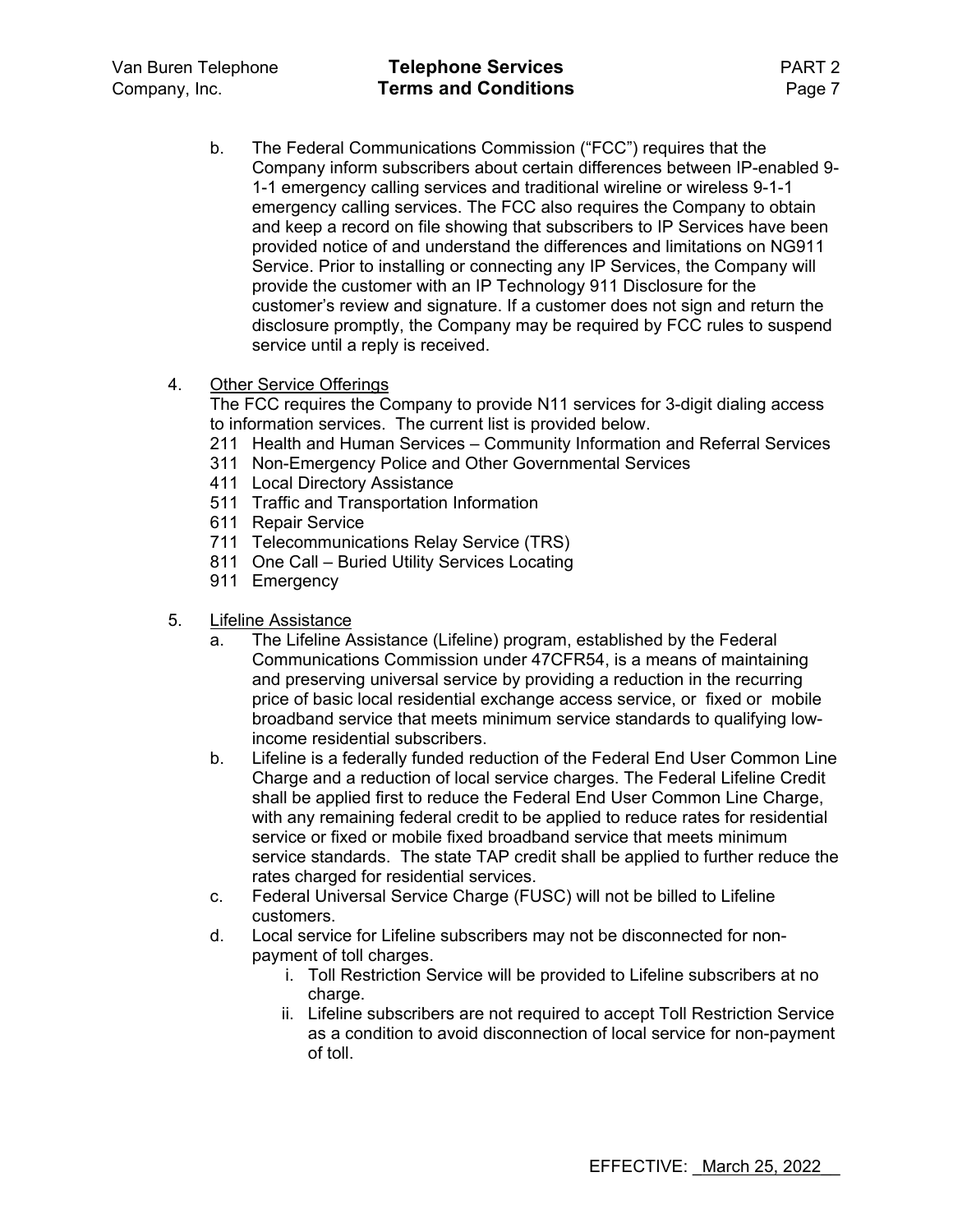- b. The Federal Communications Commission ("FCC") requires that the Company inform subscribers about certain differences between IP-enabled 9- 1-1 emergency calling services and traditional wireline or wireless 9-1-1 emergency calling services. The FCC also requires the Company to obtain and keep a record on file showing that subscribers to IP Services have been provided notice of and understand the differences and limitations on NG911 Service. Prior to installing or connecting any IP Services, the Company will provide the customer with an IP Technology 911 Disclosure for the customer's review and signature. If a customer does not sign and return the disclosure promptly, the Company may be required by FCC rules to suspend service until a reply is received.
- 4. Other Service Offerings

The FCC requires the Company to provide N11 services for 3-digit dialing access to information services. The current list is provided below.

- 211 Health and Human Services Community Information and Referral Services
- 311 Non-Emergency Police and Other Governmental Services
- 411 Local Directory Assistance
- 511 Traffic and Transportation Information
- 611 Repair Service
- 711 Telecommunications Relay Service (TRS)
- 811 One Call Buried Utility Services Locating
- 911 Emergency
- 5. Lifeline Assistance
	- a. The Lifeline Assistance (Lifeline) program, established by the Federal Communications Commission under 47CFR54, is a means of maintaining and preserving universal service by providing a reduction in the recurring price of basic local residential exchange access service, or fixed or mobile broadband service that meets minimum service standards to qualifying lowincome residential subscribers.
	- b. Lifeline is a federally funded reduction of the Federal End User Common Line Charge and a reduction of local service charges. The Federal Lifeline Credit shall be applied first to reduce the Federal End User Common Line Charge, with any remaining federal credit to be applied to reduce rates for residential service or fixed or mobile fixed broadband service that meets minimum service standards. The state TAP credit shall be applied to further reduce the rates charged for residential services.
	- c. Federal Universal Service Charge (FUSC) will not be billed to Lifeline customers.
	- d. Local service for Lifeline subscribers may not be disconnected for nonpayment of toll charges.
		- i. Toll Restriction Service will be provided to Lifeline subscribers at no charge.
		- ii. Lifeline subscribers are not required to accept Toll Restriction Service as a condition to avoid disconnection of local service for non-payment of toll.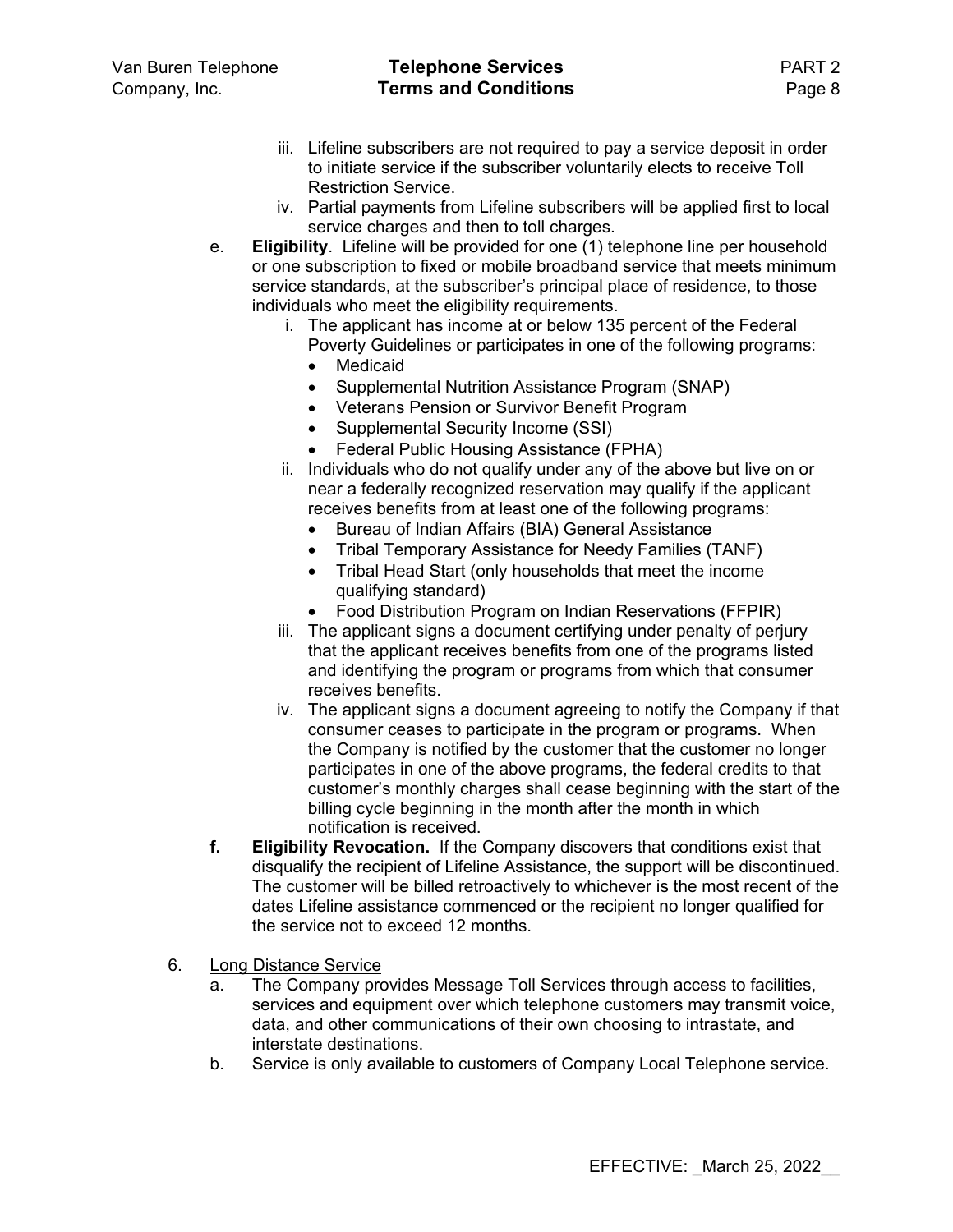- iii. Lifeline subscribers are not required to pay a service deposit in order to initiate service if the subscriber voluntarily elects to receive Toll Restriction Service.
- iv. Partial payments from Lifeline subscribers will be applied first to local service charges and then to toll charges.
- e. **Eligibility**. Lifeline will be provided for one (1) telephone line per household or one subscription to fixed or mobile broadband service that meets minimum service standards, at the subscriber's principal place of residence, to those individuals who meet the eligibility requirements.
	- i. The applicant has income at or below 135 percent of the Federal Poverty Guidelines or participates in one of the following programs:
		- Medicaid
		- Supplemental Nutrition Assistance Program (SNAP)
		- Veterans Pension or Survivor Benefit Program
		- Supplemental Security Income (SSI)
		- Federal Public Housing Assistance (FPHA)
	- ii. Individuals who do not qualify under any of the above but live on or near a federally recognized reservation may qualify if the applicant receives benefits from at least one of the following programs:
		- Bureau of Indian Affairs (BIA) General Assistance
		- Tribal Temporary Assistance for Needy Families (TANF)
		- Tribal Head Start (only households that meet the income qualifying standard)
		- Food Distribution Program on Indian Reservations (FFPIR)
	- iii. The applicant signs a document certifying under penalty of perjury that the applicant receives benefits from one of the programs listed and identifying the program or programs from which that consumer receives benefits.
	- iv. The applicant signs a document agreeing to notify the Company if that consumer ceases to participate in the program or programs. When the Company is notified by the customer that the customer no longer participates in one of the above programs, the federal credits to that customer's monthly charges shall cease beginning with the start of the billing cycle beginning in the month after the month in which notification is received.
- **f. Eligibility Revocation.** If the Company discovers that conditions exist that disqualify the recipient of Lifeline Assistance, the support will be discontinued. The customer will be billed retroactively to whichever is the most recent of the dates Lifeline assistance commenced or the recipient no longer qualified for the service not to exceed 12 months.
- 6. Long Distance Service
	- a. The Company provides Message Toll Services through access to facilities, services and equipment over which telephone customers may transmit voice, data, and other communications of their own choosing to intrastate, and interstate destinations.
	- b. Service is only available to customers of Company Local Telephone service.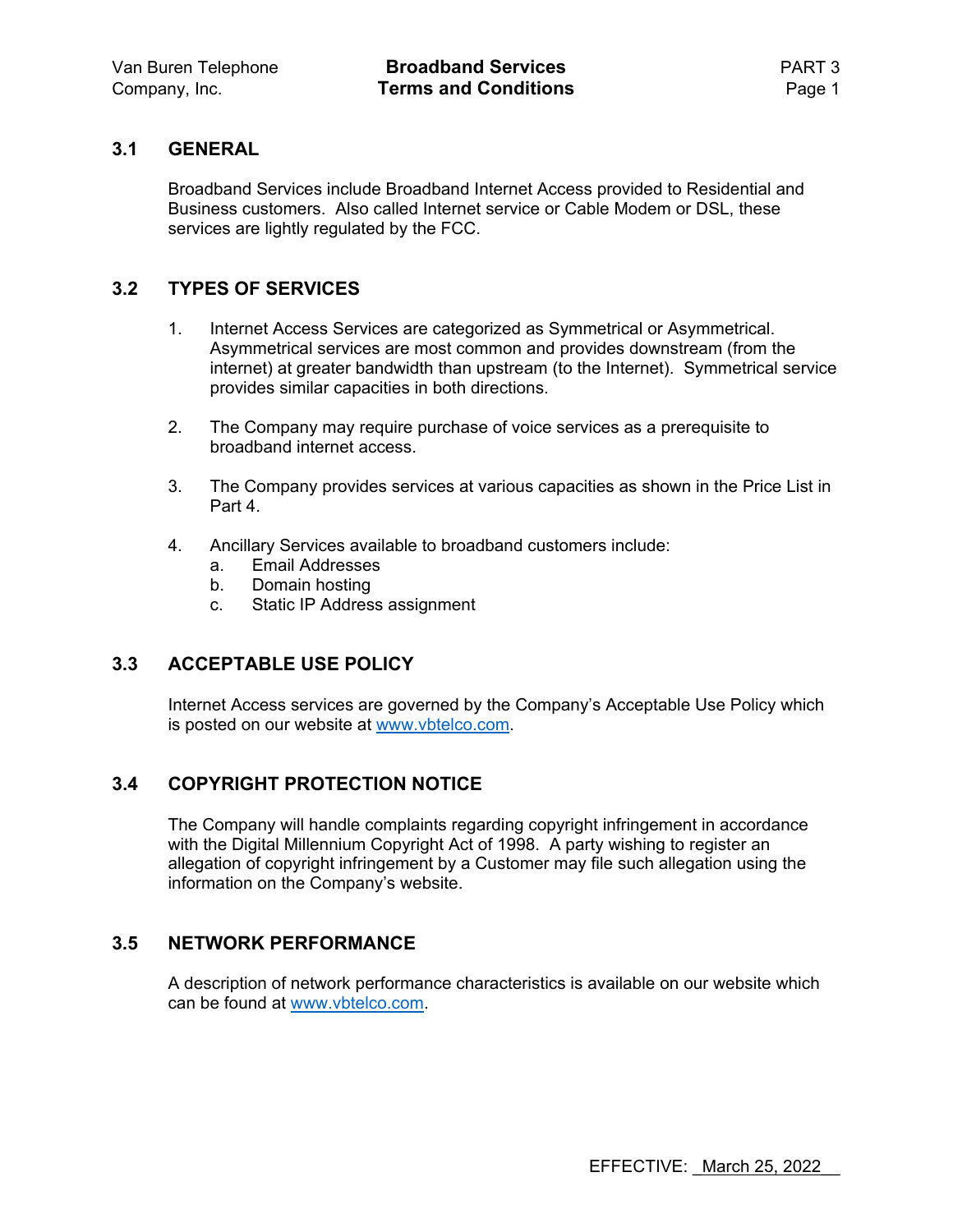#### **3.1 GENERAL**

Broadband Services include Broadband Internet Access provided to Residential and Business customers. Also called Internet service or Cable Modem or DSL, these services are lightly regulated by the FCC.

#### **3.2 TYPES OF SERVICES**

- 1. Internet Access Services are categorized as Symmetrical or Asymmetrical. Asymmetrical services are most common and provides downstream (from the internet) at greater bandwidth than upstream (to the Internet). Symmetrical service provides similar capacities in both directions.
- 2. The Company may require purchase of voice services as a prerequisite to broadband internet access.
- 3. The Company provides services at various capacities as shown in the Price List in Part 4.
- 4. Ancillary Services available to broadband customers include:
	- a. Email Addresses
	- b. Domain hosting
	- c. Static IP Address assignment

#### **3.3 ACCEPTABLE USE POLICY**

Internet Access services are governed by the Company's Acceptable Use Policy which is posted on our website at www.vbtelco.com.

#### **3.4 COPYRIGHT PROTECTION NOTICE**

The Company will handle complaints regarding copyright infringement in accordance with the Digital Millennium Copyright Act of 1998. A party wishing to register an allegation of copyright infringement by a Customer may file such allegation using the information on the Company's website.

#### **3.5 NETWORK PERFORMANCE**

A description of network performance characteristics is available on our website which can be found at www.vbtelco.com.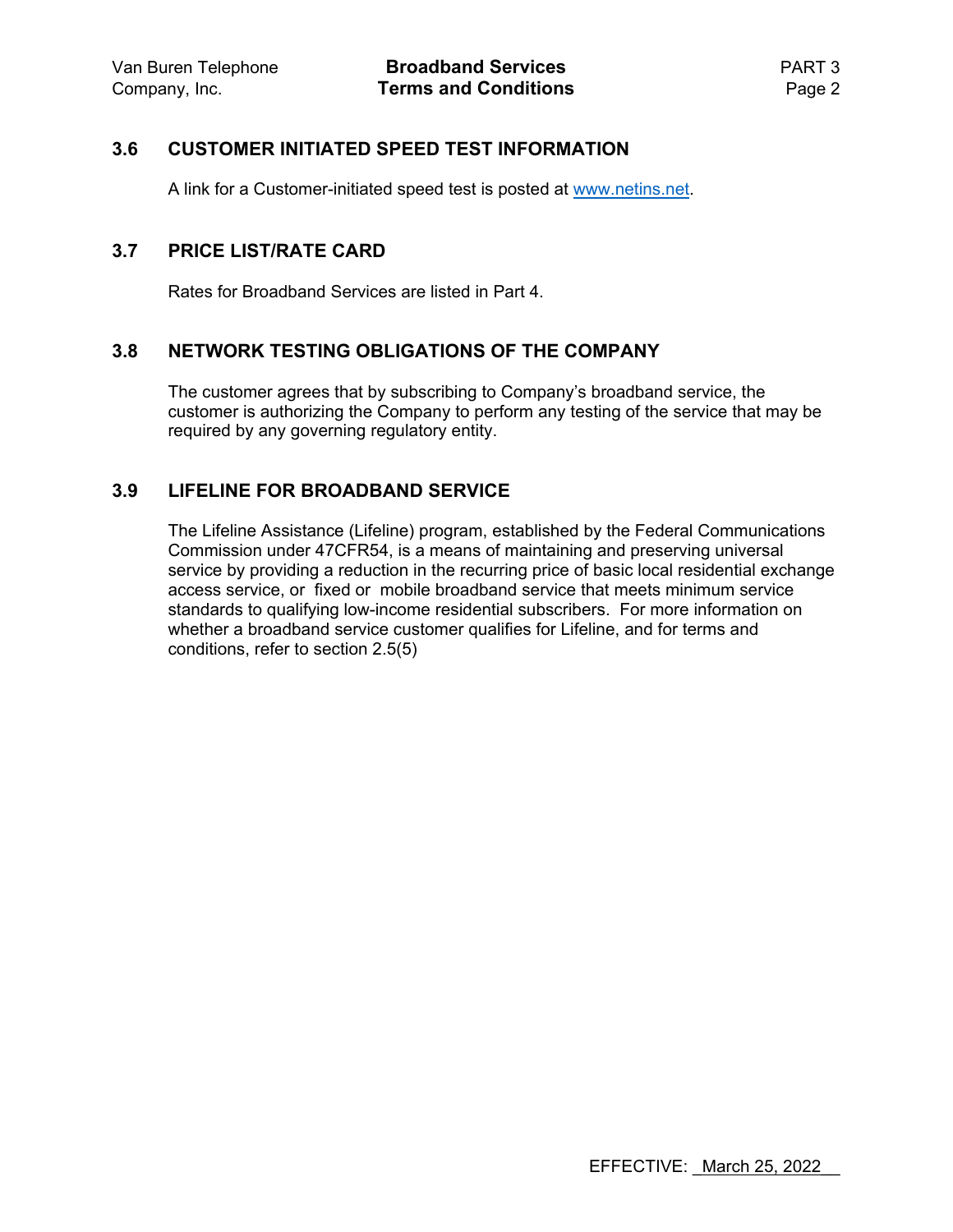### **3.6 CUSTOMER INITIATED SPEED TEST INFORMATION**

A link for a Customer-initiated speed test is posted at www.netins.net.

#### **3.7 PRICE LIST/RATE CARD**

Rates for Broadband Services are listed in Part 4.

#### **3.8 NETWORK TESTING OBLIGATIONS OF THE COMPANY**

The customer agrees that by subscribing to Company's broadband service, the customer is authorizing the Company to perform any testing of the service that may be required by any governing regulatory entity.

### **3.9 LIFELINE FOR BROADBAND SERVICE**

The Lifeline Assistance (Lifeline) program, established by the Federal Communications Commission under 47CFR54, is a means of maintaining and preserving universal service by providing a reduction in the recurring price of basic local residential exchange access service, or fixed or mobile broadband service that meets minimum service standards to qualifying low-income residential subscribers. For more information on whether a broadband service customer qualifies for Lifeline, and for terms and conditions, refer to section 2.5(5)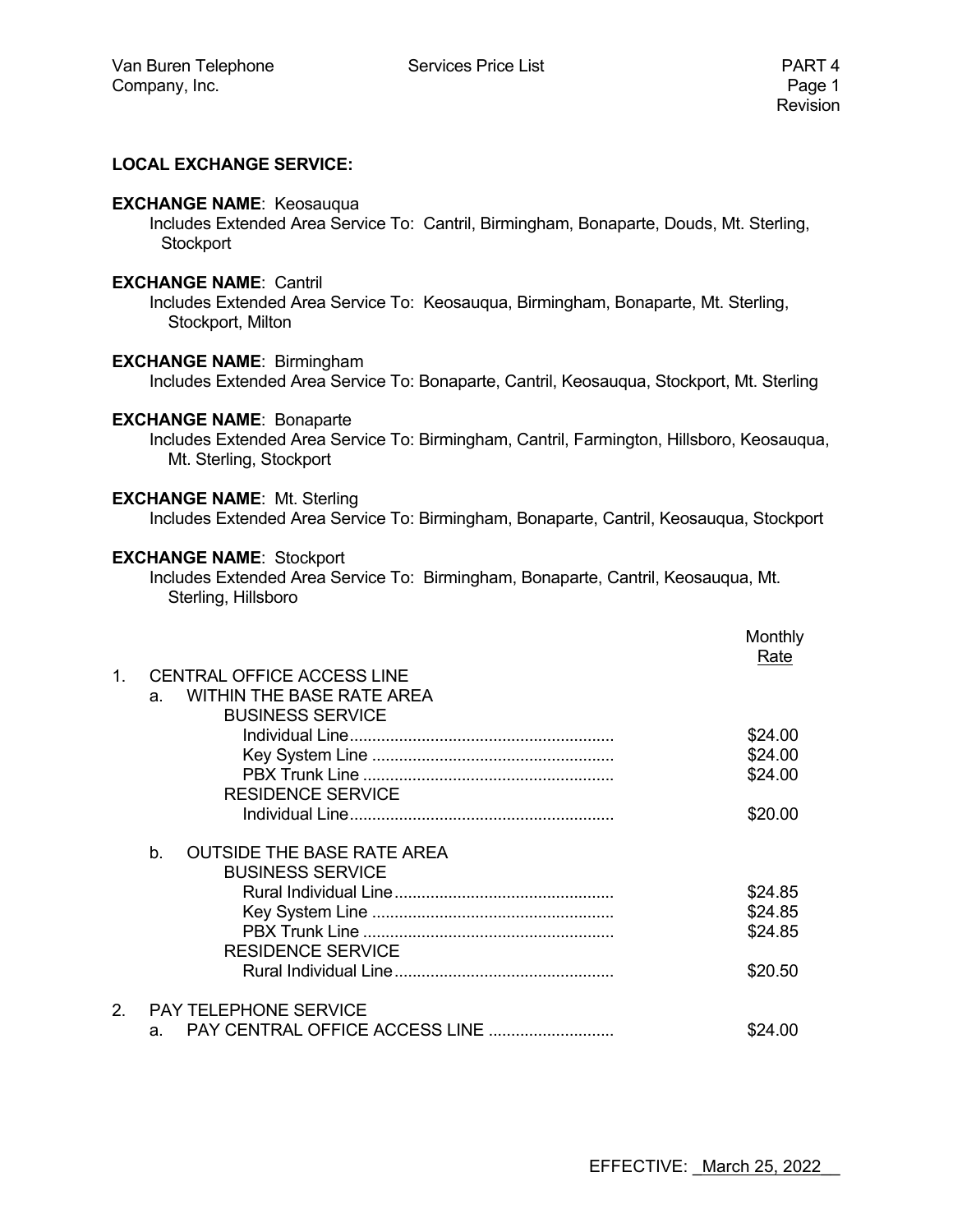#### **LOCAL EXCHANGE SERVICE:**

#### **EXCHANGE NAME**: Keosauqua

 Includes Extended Area Service To: Cantril, Birmingham, Bonaparte, Douds, Mt. Sterling, **Stockport** 

#### **EXCHANGE NAME**: Cantril

 Includes Extended Area Service To: Keosauqua, Birmingham, Bonaparte, Mt. Sterling, Stockport, Milton

#### **EXCHANGE NAME**: Birmingham

Includes Extended Area Service To: Bonaparte, Cantril, Keosauqua, Stockport, Mt. Sterling

#### **EXCHANGE NAME**: Bonaparte

 Includes Extended Area Service To: Birmingham, Cantril, Farmington, Hillsboro, Keosauqua, Mt. Sterling, Stockport

#### **EXCHANGE NAME**: Mt. Sterling

Includes Extended Area Service To: Birmingham, Bonaparte, Cantril, Keosauqua, Stockport

#### **EXCHANGE NAME**: Stockport

 Includes Extended Area Service To: Birmingham, Bonaparte, Cantril, Keosauqua, Mt. Sterling, Hillsboro

|               |                                         | Monthly<br>Rate |
|---------------|-----------------------------------------|-----------------|
| $1_{-}$       | <b>CENTRAL OFFICE ACCESS LINE</b>       |                 |
|               | <b>WITHIN THE BASE RATE AREA</b><br>a.  |                 |
|               | <b>BUSINESS SERVICE</b>                 |                 |
|               |                                         | \$24.00         |
|               |                                         | \$24.00         |
|               |                                         | \$24.00         |
|               | <b>RESIDENCE SERVICE</b>                |                 |
|               |                                         | \$20.00         |
|               |                                         |                 |
|               | <b>OUTSIDE THE BASE RATE AREA</b><br>b. |                 |
|               | <b>BUSINESS SERVICE</b>                 |                 |
|               |                                         | \$24.85         |
|               |                                         | \$24.85         |
|               |                                         | \$24.85         |
|               | <b>RESIDENCE SERVICE</b>                |                 |
|               |                                         | \$20.50         |
|               |                                         |                 |
| $\mathcal{P}$ | <b>PAY TELEPHONE SERVICE</b>            |                 |
|               | a.                                      | \$24.00         |
|               |                                         |                 |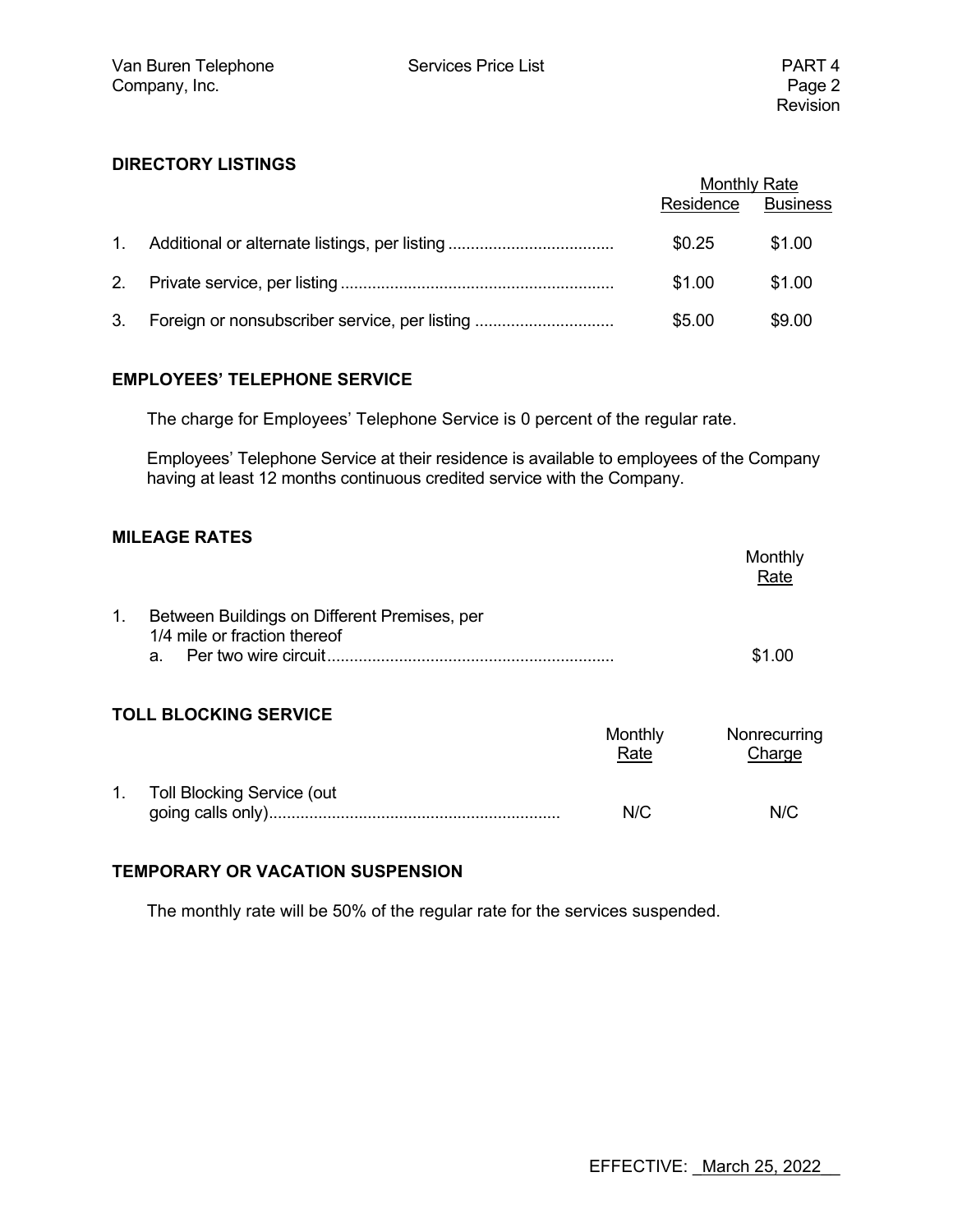#### **DIRECTORY LISTINGS**

|    |                                               | <b>Monthly Rate</b><br>Residence Business |        |
|----|-----------------------------------------------|-------------------------------------------|--------|
|    |                                               | \$0.25                                    | \$1.00 |
|    |                                               | \$1.00                                    | \$1.00 |
| 3. | Foreign or nonsubscriber service, per listing | \$5.00                                    | \$9.00 |

#### **EMPLOYEES' TELEPHONE SERVICE**

The charge for Employees' Telephone Service is 0 percent of the regular rate.

 Employees' Telephone Service at their residence is available to employees of the Company having at least 12 months continuous credited service with the Company.

#### **MILEAGE RATES**

|                                                                                   | Monthly<br>Rate |
|-----------------------------------------------------------------------------------|-----------------|
| Between Buildings on Different Premises, per<br>1/4 mile or fraction thereof<br>a | \$1.00          |

#### **TOLL BLOCKING SERVICE**

|                               | Monthly<br>Rate | Nonrecurring<br>Charge |
|-------------------------------|-----------------|------------------------|
| 1. Toll Blocking Service (out |                 |                        |
|                               | N/C             | N/C                    |

#### **TEMPORARY OR VACATION SUSPENSION**

The monthly rate will be 50% of the regular rate for the services suspended.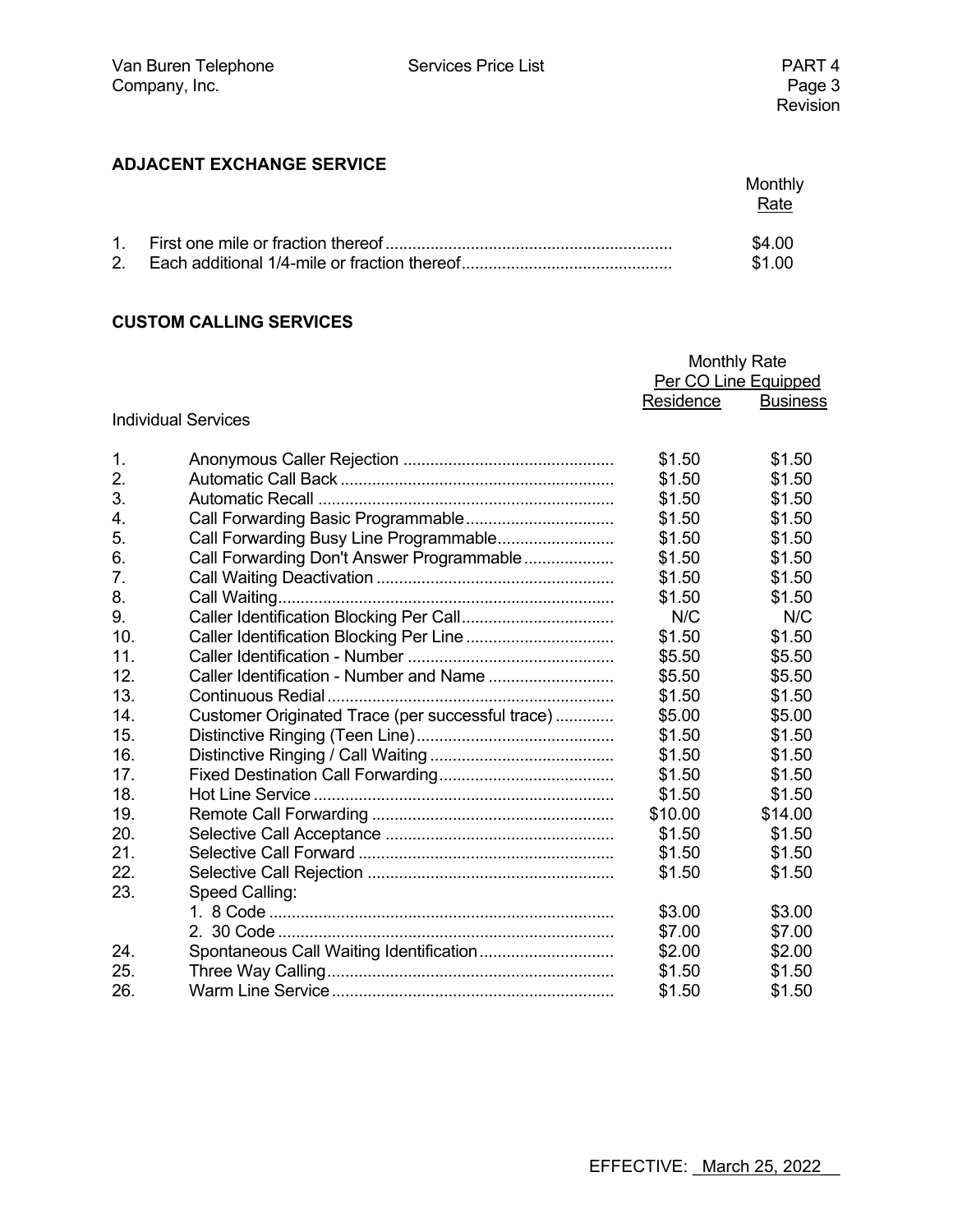### **ADJACENT EXCHANGE SERVICE**

|  | Monthly<br>Rate |
|--|-----------------|
|  | \$4.00          |
|  | \$1.00          |

#### **CUSTOM CALLING SERVICES**

|     |                                                  | <b>Monthly Rate</b>  |                 |
|-----|--------------------------------------------------|----------------------|-----------------|
|     |                                                  | Per CO Line Equipped |                 |
|     |                                                  | Residence            | <b>Business</b> |
|     | <b>Individual Services</b>                       |                      |                 |
| 1.  |                                                  | \$1.50               | \$1.50          |
| 2.  |                                                  | \$1.50               | \$1.50          |
| 3.  |                                                  | \$1.50               | \$1.50          |
| 4.  |                                                  | \$1.50               | \$1.50          |
| 5.  |                                                  | \$1.50               | \$1.50          |
| 6.  | Call Forwarding Don't Answer Programmable        | \$1.50               | \$1.50          |
| 7.  |                                                  | \$1.50               | \$1.50          |
| 8.  |                                                  | \$1.50               | \$1.50          |
| 9.  |                                                  | N/C                  | N/C             |
| 10. | Caller Identification Blocking Per Line          | \$1.50               | \$1.50          |
| 11. |                                                  | \$5.50               | \$5.50          |
| 12. |                                                  | \$5.50               | \$5.50          |
| 13. |                                                  | \$1.50               | \$1.50          |
| 14. | Customer Originated Trace (per successful trace) | \$5.00               | \$5.00          |
| 15. |                                                  | \$1.50               | \$1.50          |
| 16. |                                                  | \$1.50               | \$1.50          |
| 17. |                                                  | \$1.50               | \$1.50          |
| 18. |                                                  | \$1.50               | \$1.50          |
| 19. |                                                  | \$10.00              | \$14.00         |
| 20. |                                                  | \$1.50               | \$1.50          |
| 21. |                                                  | \$1.50               | \$1.50          |
| 22. |                                                  | \$1.50               | \$1.50          |
| 23. | Speed Calling:                                   |                      |                 |
|     |                                                  | \$3.00               | \$3.00          |
|     |                                                  | \$7.00               | \$7.00          |
| 24. |                                                  | \$2.00               | \$2.00          |
| 25. |                                                  | \$1.50               | \$1.50          |
| 26. |                                                  | \$1.50               | \$1.50          |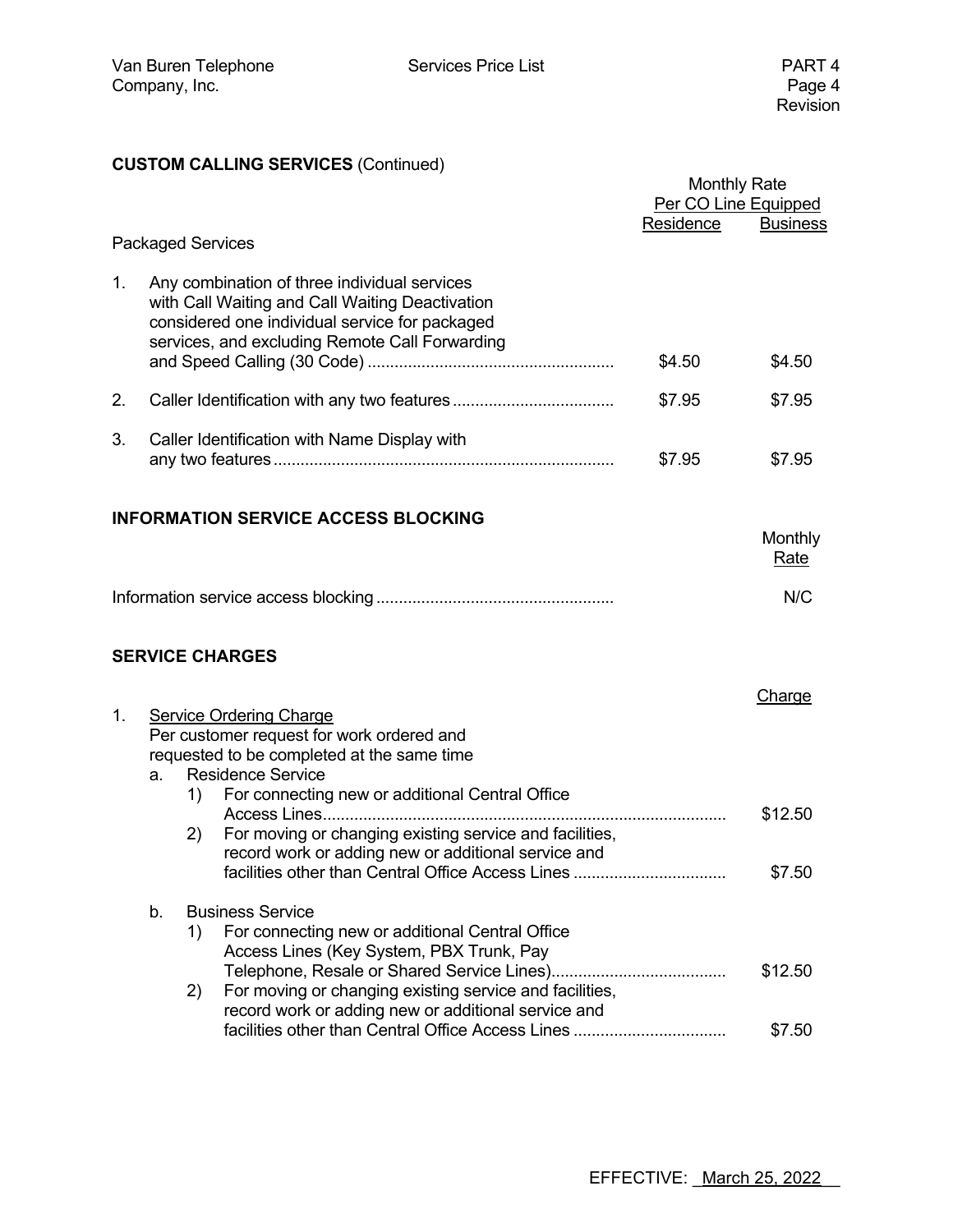### **CUSTOM CALLING SERVICES** (Continued)

|                          |                                                                                                                                                             |                                                                                                                                                                                                                                                    |           | <b>Monthly Rate</b><br>Per CO Line Equipped |  |
|--------------------------|-------------------------------------------------------------------------------------------------------------------------------------------------------------|----------------------------------------------------------------------------------------------------------------------------------------------------------------------------------------------------------------------------------------------------|-----------|---------------------------------------------|--|
| <b>Packaged Services</b> |                                                                                                                                                             |                                                                                                                                                                                                                                                    | Residence | <b>Business</b>                             |  |
| 1.                       |                                                                                                                                                             | Any combination of three individual services<br>with Call Waiting and Call Waiting Deactivation<br>considered one individual service for packaged<br>services, and excluding Remote Call Forwarding                                                | \$4.50    | \$4.50                                      |  |
| 2.                       |                                                                                                                                                             |                                                                                                                                                                                                                                                    | \$7.95    | \$7.95                                      |  |
| 3.                       |                                                                                                                                                             | Caller Identification with Name Display with                                                                                                                                                                                                       | \$7.95    | \$7.95                                      |  |
|                          |                                                                                                                                                             | <b>INFORMATION SERVICE ACCESS BLOCKING</b>                                                                                                                                                                                                         |           | Monthly<br><b>Rate</b>                      |  |
|                          |                                                                                                                                                             |                                                                                                                                                                                                                                                    |           | N/C                                         |  |
|                          |                                                                                                                                                             | <b>SERVICE CHARGES</b>                                                                                                                                                                                                                             |           |                                             |  |
| 1.                       | <b>Service Ordering Charge</b><br>Per customer request for work ordered and<br>requested to be completed at the same time<br><b>Residence Service</b><br>a. |                                                                                                                                                                                                                                                    |           |                                             |  |
|                          |                                                                                                                                                             | For connecting new or additional Central Office<br>1)<br>Access Lines<br>For moving or changing existing service and facilities,<br>2)<br>record work or adding new or additional service and<br>facilities other than Central Office Access Lines |           | \$12.50<br>\$7.50                           |  |
|                          | b.                                                                                                                                                          | <b>Business Service</b>                                                                                                                                                                                                                            |           |                                             |  |
|                          |                                                                                                                                                             | For connecting new or additional Central Office<br>1)<br>Access Lines (Key System, PBX Trunk, Pay                                                                                                                                                  |           | \$12.50                                     |  |
|                          |                                                                                                                                                             | For moving or changing existing service and facilities,<br>2)<br>record work or adding new or additional service and<br>facilities other than Central Office Access Lines                                                                          |           | \$7.50                                      |  |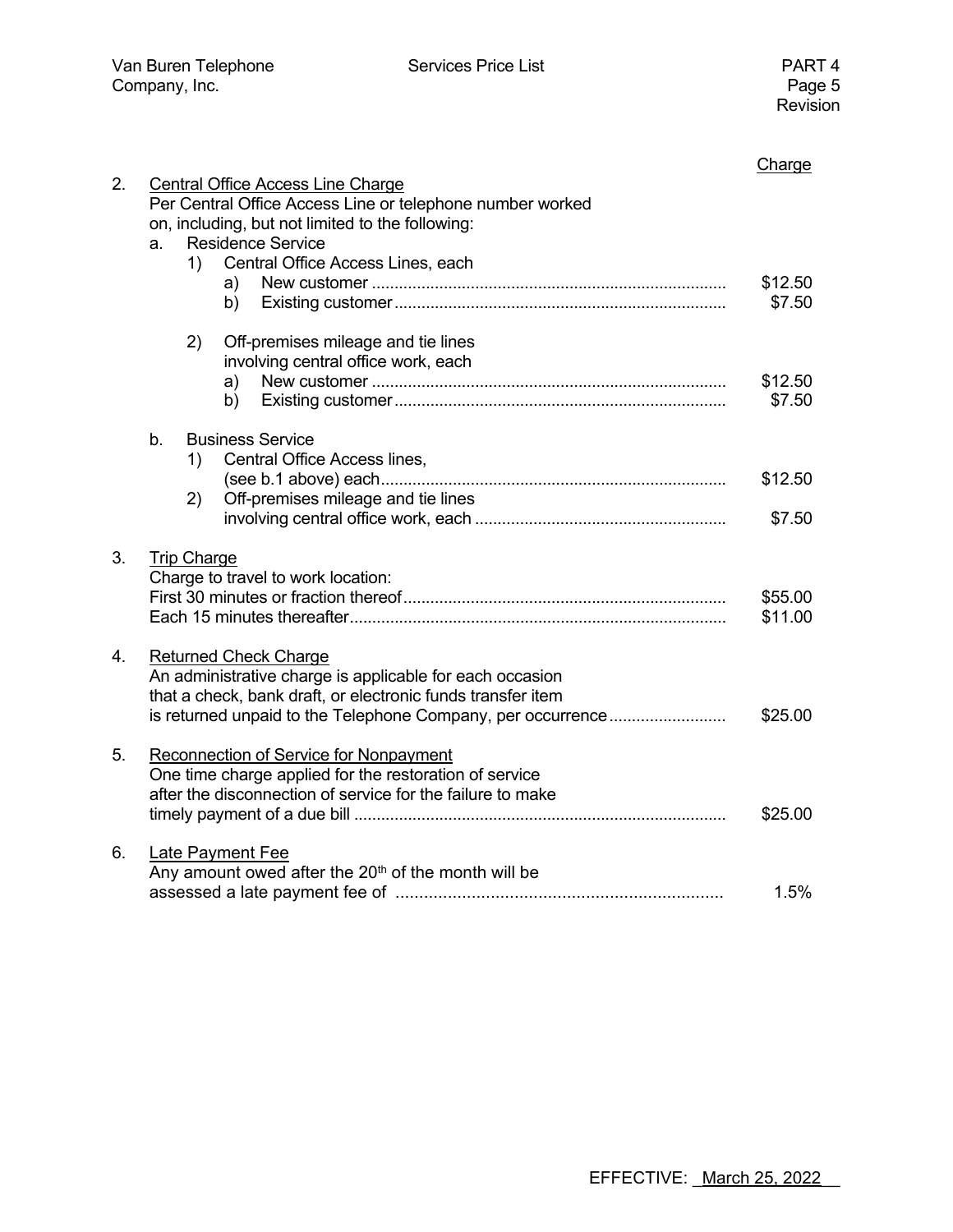| 2. |                                                                                                                                                           |    |                                         | Charge            |  |  |  |
|----|-----------------------------------------------------------------------------------------------------------------------------------------------------------|----|-----------------------------------------|-------------------|--|--|--|
|    | <b>Central Office Access Line Charge</b><br>Per Central Office Access Line or telephone number worked<br>on, including, but not limited to the following: |    |                                         |                   |  |  |  |
|    | a.                                                                                                                                                        |    | <b>Residence Service</b>                |                   |  |  |  |
|    |                                                                                                                                                           | 1) | Central Office Access Lines, each<br>a) | \$12.50           |  |  |  |
|    |                                                                                                                                                           |    | b)                                      | \$7.50            |  |  |  |
|    |                                                                                                                                                           | 2) | Off-premises mileage and tie lines      |                   |  |  |  |
|    |                                                                                                                                                           |    | involving central office work, each     |                   |  |  |  |
|    |                                                                                                                                                           |    | a)                                      | \$12.50<br>\$7.50 |  |  |  |
|    |                                                                                                                                                           |    | b)                                      |                   |  |  |  |
|    | $b_{1}$                                                                                                                                                   |    | <b>Business Service</b>                 |                   |  |  |  |
|    |                                                                                                                                                           | 1) | Central Office Access lines,            |                   |  |  |  |
|    |                                                                                                                                                           |    |                                         | \$12.50           |  |  |  |
|    |                                                                                                                                                           | 2) | Off-premises mileage and tie lines      | \$7.50            |  |  |  |
|    |                                                                                                                                                           |    |                                         |                   |  |  |  |
| 3. | <b>Trip Charge</b>                                                                                                                                        |    |                                         |                   |  |  |  |
|    |                                                                                                                                                           |    | Charge to travel to work location:      | \$55.00           |  |  |  |
|    |                                                                                                                                                           |    |                                         |                   |  |  |  |
|    |                                                                                                                                                           |    |                                         | \$11.00           |  |  |  |
| 4. | <b>Returned Check Charge</b>                                                                                                                              |    |                                         |                   |  |  |  |
|    | An administrative charge is applicable for each occasion                                                                                                  |    |                                         |                   |  |  |  |
|    | that a check, bank draft, or electronic funds transfer item                                                                                               |    |                                         |                   |  |  |  |
|    |                                                                                                                                                           |    |                                         |                   |  |  |  |
| 5. | Reconnection of Service for Nonpayment                                                                                                                    |    |                                         |                   |  |  |  |
|    | One time charge applied for the restoration of service                                                                                                    |    |                                         |                   |  |  |  |
|    | after the disconnection of service for the failure to make                                                                                                |    |                                         |                   |  |  |  |
|    |                                                                                                                                                           |    |                                         |                   |  |  |  |
| 6. | <b>Late Payment Fee</b>                                                                                                                                   |    |                                         |                   |  |  |  |
|    | Any amount owed after the 20 <sup>th</sup> of the month will be                                                                                           |    |                                         |                   |  |  |  |
|    |                                                                                                                                                           |    |                                         | 1.5%              |  |  |  |